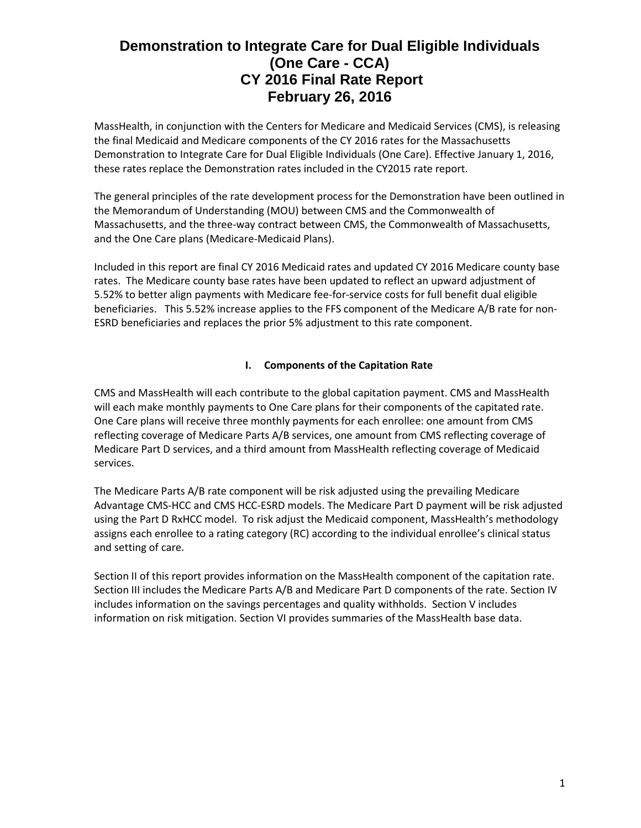MassHealth, in conjunction with the Centers for Medicare and Medicaid Services (CMS), is releasing the final Medicaid and Medicare components of the CY 2016 rates for the Massachusetts Demonstration to Integrate Care for Dual Eligible Individuals (One Care). Effective January 1, 2016, these rates replace the Demonstration rates included in the CY2015 rate report.

The general principles of the rate development process for the Demonstration have been outlined in the Memorandum of Understanding (MOU) between CMS and the Commonwealth of Massachusetts, and the three-way contract between CMS, the Commonwealth of Massachusetts, and the One Care plans (Medicare-Medicaid Plans).

Included in this report are final CY 2016 Medicaid rates and updated CY 2016 Medicare county base rates. The Medicare county base rates have been updated to reflect an upward adjustment of 5.52% to better align payments with Medicare fee-for-service costs for full benefit dual eligible beneficiaries. This 5.52% increase applies to the FFS component of the Medicare A/B rate for non-ESRD beneficiaries and replaces the prior 5% adjustment to this rate component.

# **I. Components of the Capitation Rate**

CMS and MassHealth will each contribute to the global capitation payment. CMS and MassHealth will each make monthly payments to One Care plans for their components of the capitated rate. One Care plans will receive three monthly payments for each enrollee: one amount from CMS reflecting coverage of Medicare Parts A/B services, one amount from CMS reflecting coverage of Medicare Part D services, and a third amount from MassHealth reflecting coverage of Medicaid services.

The Medicare Parts A/B rate component will be risk adjusted using the prevailing Medicare Advantage CMS-HCC and CMS HCC-ESRD models. The Medicare Part D payment will be risk adjusted using the Part D RxHCC model. To risk adjust the Medicaid component, MassHealth's methodology assigns each enrollee to a rating category (RC) according to the individual enrollee's clinical status and setting of care.

Section II of this report provides information on the MassHealth component of the capitation rate. Section III includes the Medicare Parts A/B and Medicare Part D components of the rate. Section IV includes information on the savings percentages and quality withholds. Section V includes information on risk mitigation. Section VI provides summaries of the MassHealth base data.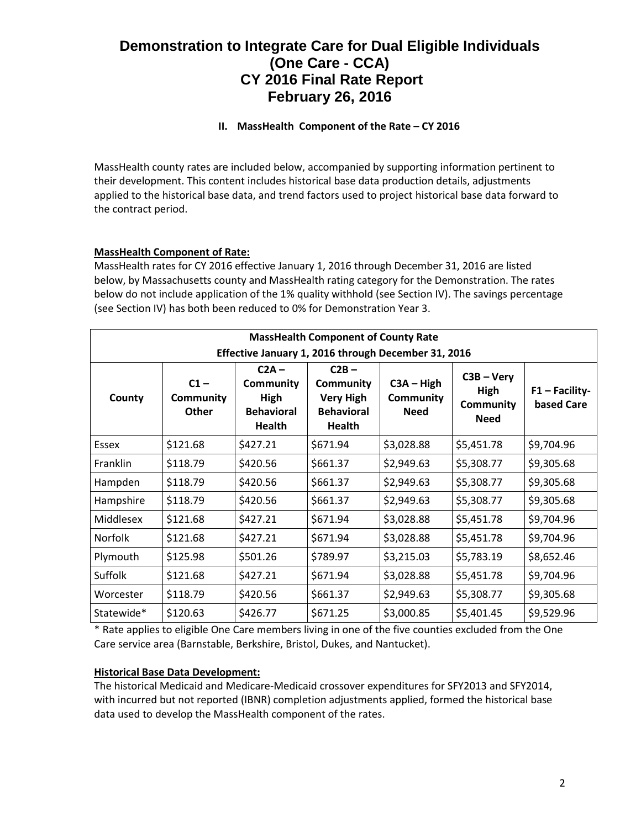# **II. MassHealth Component of the Rate – CY 2016**

MassHealth county rates are included below, accompanied by supporting information pertinent to their development. This content includes historical base data production details, adjustments applied to the historical base data, and trend factors used to project historical base data forward to the contract period.

# **MassHealth Component of Rate:**

MassHealth rates for CY 2016 effective January 1, 2016 through December 31, 2016 are listed below, by Massachusetts county and MassHealth rating category for the Demonstration. The rates below do not include application of the 1% quality withhold (see Section IV). The savings percentage (see Section IV) has both been reduced to 0% for Demonstration Year 3.

| <b>MassHealth Component of County Rate</b>          |                                     |                                                                    |                                                                                |                                          |                                                         |                                |
|-----------------------------------------------------|-------------------------------------|--------------------------------------------------------------------|--------------------------------------------------------------------------------|------------------------------------------|---------------------------------------------------------|--------------------------------|
| Effective January 1, 2016 through December 31, 2016 |                                     |                                                                    |                                                                                |                                          |                                                         |                                |
| County                                              | $C1 -$<br>Community<br><b>Other</b> | $C2A -$<br><b>Community</b><br>High<br><b>Behavioral</b><br>Health | $C2B -$<br><b>Community</b><br><b>Very High</b><br><b>Behavioral</b><br>Health | $C3A - High$<br>Community<br><b>Need</b> | $C3B - Very$<br>High<br><b>Community</b><br><b>Need</b> | $F1 - Facility-$<br>based Care |
| Essex                                               | \$121.68                            | \$427.21                                                           | \$671.94                                                                       | \$3,028.88                               | \$5,451.78                                              | \$9,704.96                     |
| Franklin                                            | \$118.79                            | \$420.56                                                           | \$661.37                                                                       | \$2,949.63                               | \$5,308.77                                              | \$9,305.68                     |
| Hampden                                             | \$118.79                            | \$420.56                                                           | \$661.37                                                                       | \$2,949.63                               | \$5,308.77                                              | \$9,305.68                     |
| Hampshire                                           | \$118.79                            | \$420.56                                                           | \$661.37                                                                       | \$2,949.63                               | \$5,308.77                                              | \$9,305.68                     |
| Middlesex                                           | \$121.68                            | \$427.21                                                           | \$671.94                                                                       | \$3,028.88                               | \$5,451.78                                              | \$9,704.96                     |
| <b>Norfolk</b>                                      | \$121.68                            | \$427.21                                                           | \$671.94                                                                       | \$3,028.88                               | \$5,451.78                                              | \$9,704.96                     |
| Plymouth                                            | \$125.98                            | \$501.26                                                           | \$789.97                                                                       | \$3,215.03                               | \$5,783.19                                              | \$8,652.46                     |
| Suffolk                                             | \$121.68                            | \$427.21                                                           | \$671.94                                                                       | \$3,028.88                               | \$5,451.78                                              | \$9,704.96                     |
| Worcester                                           | \$118.79                            | \$420.56                                                           | \$661.37                                                                       | \$2,949.63                               | \$5,308.77                                              | \$9,305.68                     |
| Statewide*                                          | \$120.63                            | \$426.77                                                           | \$671.25                                                                       | \$3,000.85                               | \$5,401.45                                              | \$9,529.96                     |

\* Rate applies to eligible One Care members living in one of the five counties excluded from the One Care service area (Barnstable, Berkshire, Bristol, Dukes, and Nantucket).

#### **Historical Base Data Development:**

The historical Medicaid and Medicare-Medicaid crossover expenditures for SFY2013 and SFY2014, with incurred but not reported (IBNR) completion adjustments applied, formed the historical base data used to develop the MassHealth component of the rates.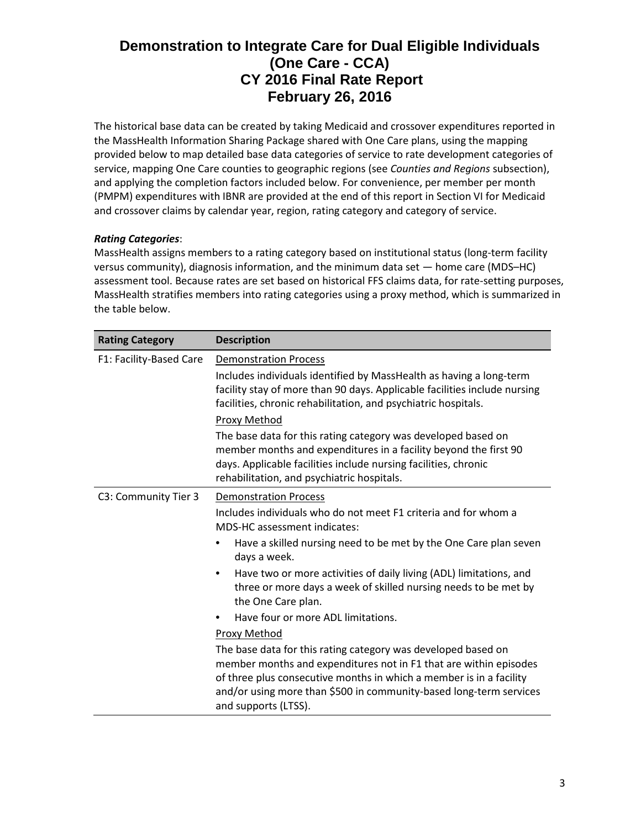The historical base data can be created by taking Medicaid and crossover expenditures reported in the MassHealth Information Sharing Package shared with One Care plans, using the mapping provided below to map detailed base data categories of service to rate development categories of service, mapping One Care counties to geographic regions (see *Counties and Regions* subsection), and applying the completion factors included below. For convenience, per member per month (PMPM) expenditures with IBNR are provided at the end of this report in Section VI for Medicaid and crossover claims by calendar year, region, rating category and category of service.

# *Rating Categories*:

MassHealth assigns members to a rating category based on institutional status (long-term facility versus community), diagnosis information, and the minimum data set — home care (MDS–HC) assessment tool. Because rates are set based on historical FFS claims data, for rate-setting purposes, MassHealth stratifies members into rating categories using a proxy method, which is summarized in the table below.

| <b>Rating Category</b>  | <b>Description</b>                                                                                                                                                                                                                                                                                      |  |  |
|-------------------------|---------------------------------------------------------------------------------------------------------------------------------------------------------------------------------------------------------------------------------------------------------------------------------------------------------|--|--|
| F1: Facility-Based Care | <b>Demonstration Process</b><br>Includes individuals identified by MassHealth as having a long-term<br>facility stay of more than 90 days. Applicable facilities include nursing<br>facilities, chronic rehabilitation, and psychiatric hospitals.                                                      |  |  |
|                         | Proxy Method<br>The base data for this rating category was developed based on<br>member months and expenditures in a facility beyond the first 90<br>days. Applicable facilities include nursing facilities, chronic<br>rehabilitation, and psychiatric hospitals.                                      |  |  |
| C3: Community Tier 3    | <b>Demonstration Process</b><br>Includes individuals who do not meet F1 criteria and for whom a<br><b>MDS-HC</b> assessment indicates:<br>Have a skilled nursing need to be met by the One Care plan seven<br>days a week.                                                                              |  |  |
|                         | Have two or more activities of daily living (ADL) limitations, and<br>٠<br>three or more days a week of skilled nursing needs to be met by<br>the One Care plan.                                                                                                                                        |  |  |
|                         | Have four or more ADL limitations.                                                                                                                                                                                                                                                                      |  |  |
|                         | Proxy Method                                                                                                                                                                                                                                                                                            |  |  |
|                         | The base data for this rating category was developed based on<br>member months and expenditures not in F1 that are within episodes<br>of three plus consecutive months in which a member is in a facility<br>and/or using more than \$500 in community-based long-term services<br>and supports (LTSS). |  |  |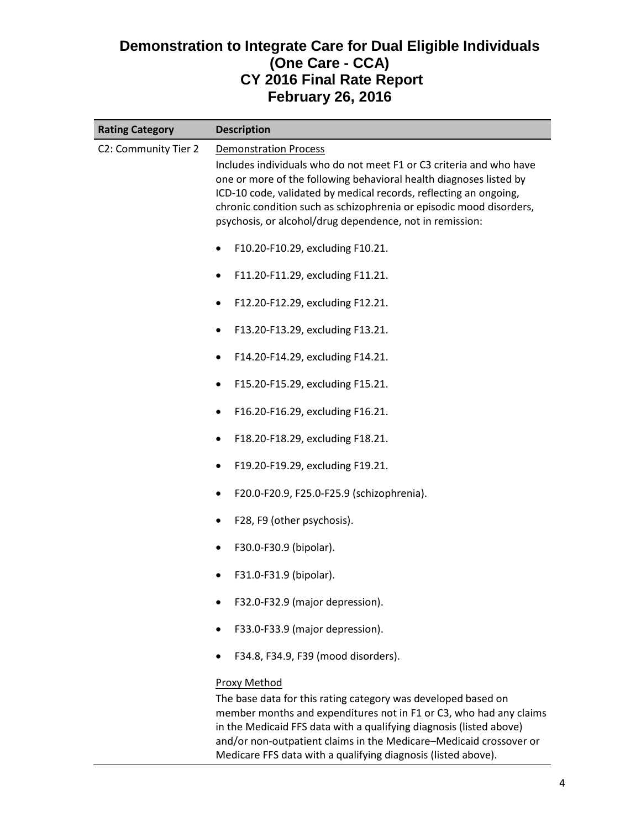| <b>Rating Category</b> | <b>Description</b>                                                                                                                                                                                                                                                                                                                                                                |
|------------------------|-----------------------------------------------------------------------------------------------------------------------------------------------------------------------------------------------------------------------------------------------------------------------------------------------------------------------------------------------------------------------------------|
| C2: Community Tier 2   | <b>Demonstration Process</b><br>Includes individuals who do not meet F1 or C3 criteria and who have<br>one or more of the following behavioral health diagnoses listed by<br>ICD-10 code, validated by medical records, reflecting an ongoing,<br>chronic condition such as schizophrenia or episodic mood disorders,<br>psychosis, or alcohol/drug dependence, not in remission: |
|                        | F10.20-F10.29, excluding F10.21.<br>$\bullet$                                                                                                                                                                                                                                                                                                                                     |
|                        | F11.20-F11.29, excluding F11.21.<br>٠                                                                                                                                                                                                                                                                                                                                             |
|                        | F12.20-F12.29, excluding F12.21.<br>٠                                                                                                                                                                                                                                                                                                                                             |
|                        | F13.20-F13.29, excluding F13.21.<br>٠                                                                                                                                                                                                                                                                                                                                             |
|                        | F14.20-F14.29, excluding F14.21.<br>٠                                                                                                                                                                                                                                                                                                                                             |
|                        | F15.20-F15.29, excluding F15.21.<br>٠                                                                                                                                                                                                                                                                                                                                             |
|                        | F16.20-F16.29, excluding F16.21.<br>$\bullet$                                                                                                                                                                                                                                                                                                                                     |
|                        | F18.20-F18.29, excluding F18.21.<br>٠                                                                                                                                                                                                                                                                                                                                             |
|                        | F19.20-F19.29, excluding F19.21.<br>٠                                                                                                                                                                                                                                                                                                                                             |
|                        | F20.0-F20.9, F25.0-F25.9 (schizophrenia).<br>٠                                                                                                                                                                                                                                                                                                                                    |
|                        | F28, F9 (other psychosis).                                                                                                                                                                                                                                                                                                                                                        |
|                        | F30.0-F30.9 (bipolar).<br>٠                                                                                                                                                                                                                                                                                                                                                       |
|                        | F31.0-F31.9 (bipolar).                                                                                                                                                                                                                                                                                                                                                            |
|                        | F32.0-F32.9 (major depression).                                                                                                                                                                                                                                                                                                                                                   |
|                        | F33.0-F33.9 (major depression).<br>٠                                                                                                                                                                                                                                                                                                                                              |
|                        | F34.8, F34.9, F39 (mood disorders).                                                                                                                                                                                                                                                                                                                                               |
|                        | Proxy Method<br>The base data for this rating category was developed based on<br>member months and expenditures not in F1 or C3, who had any claims                                                                                                                                                                                                                               |

in the Medicaid FFS data with a qualifying diagnosis (listed above) and/or non-outpatient claims in the Medicare–Medicaid crossover or Medicare FFS data with a qualifying diagnosis (listed above).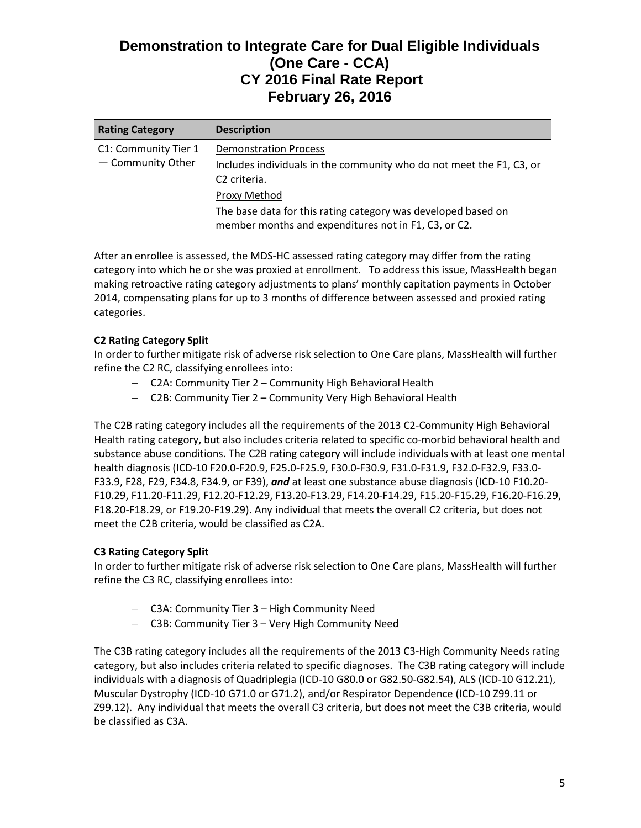| <b>Rating Category</b>                    | <b>Description</b>                                                                                                               |
|-------------------------------------------|----------------------------------------------------------------------------------------------------------------------------------|
| C1: Community Tier 1<br>- Community Other | <b>Demonstration Process</b><br>Includes individuals in the community who do not meet the F1, C3, or<br>C <sub>2</sub> criteria. |
|                                           | Proxy Method                                                                                                                     |
|                                           | The base data for this rating category was developed based on<br>member months and expenditures not in F1, C3, or C2.            |

After an enrollee is assessed, the MDS-HC assessed rating category may differ from the rating category into which he or she was proxied at enrollment. To address this issue, MassHealth began making retroactive rating category adjustments to plans' monthly capitation payments in October 2014, compensating plans for up to 3 months of difference between assessed and proxied rating categories.

### **C2 Rating Category Split**

In order to further mitigate risk of adverse risk selection to One Care plans, MassHealth will further refine the C2 RC, classifying enrollees into:

- − C2A: Community Tier 2 Community High Behavioral Health
- − C2B: Community Tier 2 Community Very High Behavioral Health

The C2B rating category includes all the requirements of the 2013 C2-Community High Behavioral Health rating category, but also includes criteria related to specific co-morbid behavioral health and substance abuse conditions. The C2B rating category will include individuals with at least one mental health diagnosis (ICD-10 F20.0-F20.9, F25.0-F25.9, F30.0-F30.9, F31.0-F31.9, F32.0-F32.9, F33.0- F33.9, F28, F29, F34.8, F34.9, or F39), *and* at least one substance abuse diagnosis (ICD-10 F10.20- F10.29, F11.20-F11.29, F12.20-F12.29, F13.20-F13.29, F14.20-F14.29, F15.20-F15.29, F16.20-F16.29, F18.20-F18.29, or F19.20-F19.29). Any individual that meets the overall C2 criteria, but does not meet the C2B criteria, would be classified as C2A.

# **C3 Rating Category Split**

In order to further mitigate risk of adverse risk selection to One Care plans, MassHealth will further refine the C3 RC, classifying enrollees into:

- − C3A: Community Tier 3 High Community Need
- − C3B: Community Tier 3 Very High Community Need

The C3B rating category includes all the requirements of the 2013 C3-High Community Needs rating category, but also includes criteria related to specific diagnoses. The C3B rating category will include individuals with a diagnosis of Quadriplegia (ICD-10 G80.0 or G82.50-G82.54), ALS (ICD-10 G12.21), Muscular Dystrophy (ICD-10 G71.0 or G71.2), and/or Respirator Dependence (ICD-10 Z99.11 or Z99.12). Any individual that meets the overall C3 criteria, but does not meet the C3B criteria, would be classified as C3A.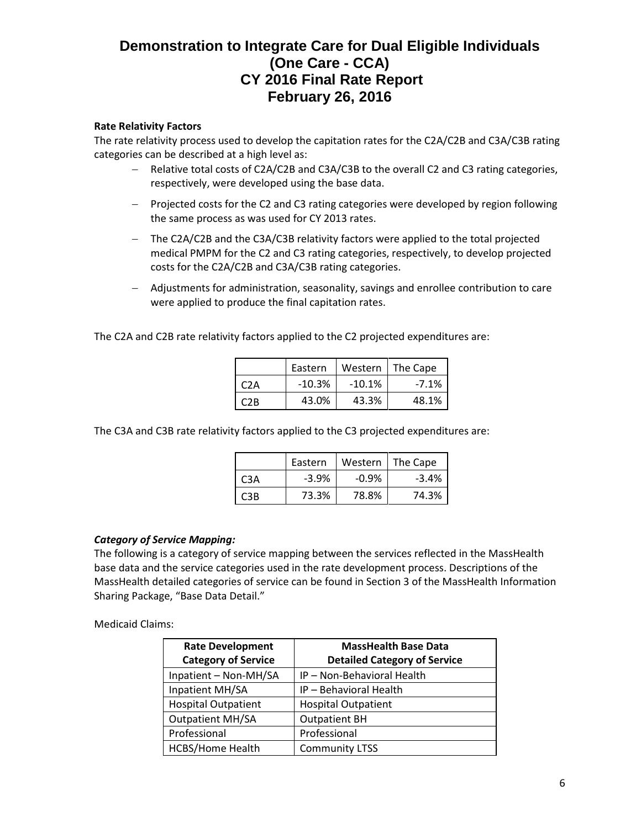#### **Rate Relativity Factors**

The rate relativity process used to develop the capitation rates for the C2A/C2B and C3A/C3B rating categories can be described at a high level as:

- − Relative total costs of C2A/C2B and C3A/C3B to the overall C2 and C3 rating categories, respectively, were developed using the base data.
- − Projected costs for the C2 and C3 rating categories were developed by region following the same process as was used for CY 2013 rates.
- − The C2A/C2B and the C3A/C3B relativity factors were applied to the total projected medical PMPM for the C2 and C3 rating categories, respectively, to develop projected costs for the C2A/C2B and C3A/C3B rating categories.
- − Adjustments for administration, seasonality, savings and enrollee contribution to care were applied to produce the final capitation rates.

The C2A and C2B rate relativity factors applied to the C2 projected expenditures are:

|     | Eastern  | Western  | The Cape |
|-----|----------|----------|----------|
| C2A | $-10.3%$ | $-10.1%$ | $-7.1%$  |
| C2R | 43.0%    | 43.3%    | 48.1%    |

The C3A and C3B rate relativity factors applied to the C3 projected expenditures are:

|      | Eastern | Western | l The Cape |
|------|---------|---------|------------|
| C3A  | $-3.9%$ | $-0.9%$ | $-3.4%$    |
| C3B. | 73.3%   | 78.8%   | 74.3%      |

#### *Category of Service Mapping:*

The following is a category of service mapping between the services reflected in the MassHealth base data and the service categories used in the rate development process. Descriptions of the MassHealth detailed categories of service can be found in Section 3 of the MassHealth Information Sharing Package, "Base Data Detail."

#### Medicaid Claims:

| <b>Rate Development</b><br><b>Category of Service</b> | <b>MassHealth Base Data</b><br><b>Detailed Category of Service</b> |
|-------------------------------------------------------|--------------------------------------------------------------------|
| Inpatient - Non-MH/SA                                 | IP - Non-Behavioral Health                                         |
| Inpatient MH/SA                                       | IP - Behavioral Health                                             |
| <b>Hospital Outpatient</b>                            | <b>Hospital Outpatient</b>                                         |
| <b>Outpatient MH/SA</b>                               | <b>Outpatient BH</b>                                               |
| Professional                                          | Professional                                                       |
| HCBS/Home Health                                      | <b>Community LTSS</b>                                              |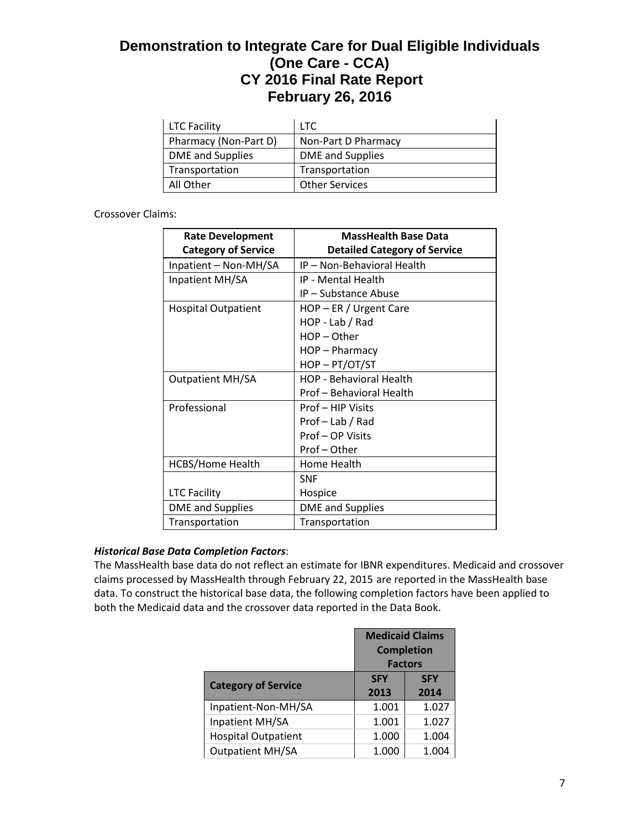| <b>LTC Facility</b>   | LTC.                  |
|-----------------------|-----------------------|
| Pharmacy (Non-Part D) | Non-Part D Pharmacy   |
| DME and Supplies      | DME and Supplies      |
| Transportation        | Transportation        |
| All Other             | <b>Other Services</b> |

### Crossover Claims:

| <b>Rate Development</b><br><b>Category of Service</b> | <b>MassHealth Base Data</b><br><b>Detailed Category of Service</b> |
|-------------------------------------------------------|--------------------------------------------------------------------|
| Inpatient - Non-MH/SA                                 | IP - Non-Behavioral Health                                         |
| Inpatient MH/SA                                       | <b>IP - Mental Health</b>                                          |
|                                                       | IP - Substance Abuse                                               |
| <b>Hospital Outpatient</b>                            | $HOP - ER / Urgent Care$                                           |
|                                                       | HOP - Lab / Rad                                                    |
|                                                       | $HOP - Other$                                                      |
|                                                       | HOP - Pharmacy                                                     |
|                                                       | HOP-PT/OT/ST                                                       |
| <b>Outpatient MH/SA</b>                               | <b>HOP - Behavioral Health</b>                                     |
|                                                       | Prof - Behavioral Health                                           |
| Professional                                          | Prof - HIP Visits                                                  |
|                                                       | Prof-Lab / Rad                                                     |
|                                                       | Prof-OP Visits                                                     |
|                                                       | Prof-Other                                                         |
| <b>HCBS/Home Health</b>                               | Home Health                                                        |
|                                                       | <b>SNF</b>                                                         |
| <b>LTC Facility</b>                                   | Hospice                                                            |
| <b>DME</b> and Supplies                               | <b>DME</b> and Supplies                                            |
| Transportation                                        | Transportation                                                     |

# *Historical Base Data Completion Factors*:

The MassHealth base data do not reflect an estimate for IBNR expenditures. Medicaid and crossover claims processed by MassHealth through February 22, 2015 are reported in the MassHealth base data. To construct the historical base data, the following completion factors have been applied to both the Medicaid data and the crossover data reported in the Data Book.

|                            | <b>Medicaid Claims</b><br><b>Completion</b><br><b>Factors</b> |                    |
|----------------------------|---------------------------------------------------------------|--------------------|
| <b>Category of Service</b> | <b>SFY</b><br>2013                                            | <b>SFY</b><br>2014 |
| Inpatient-Non-MH/SA        | 1.001                                                         | 1.027              |
| Inpatient MH/SA            | 1.001                                                         | 1.027              |
| <b>Hospital Outpatient</b> | 1.000                                                         | 1.004              |
| <b>Outpatient MH/SA</b>    | 1.000                                                         | 1.004              |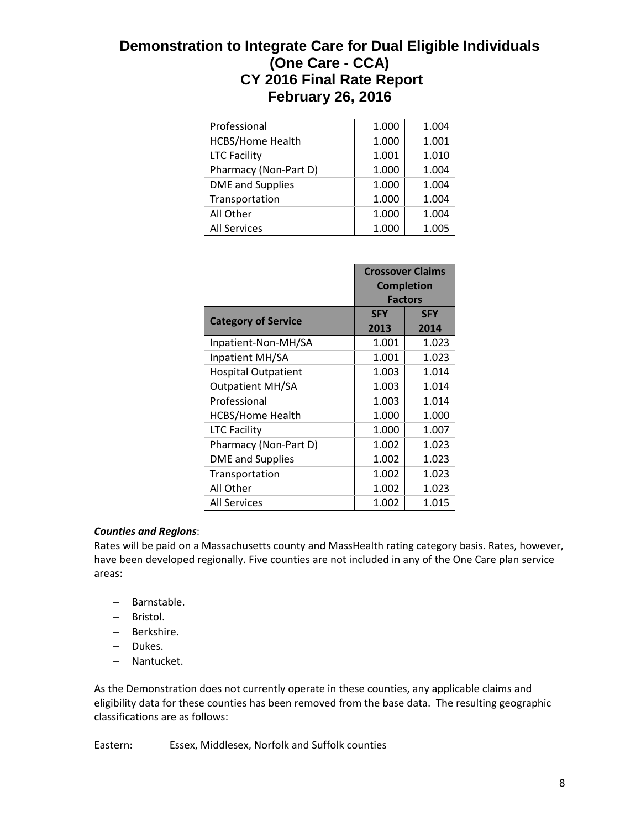| Professional            | 1.000 | 1.004 |
|-------------------------|-------|-------|
| <b>HCBS/Home Health</b> | 1.000 | 1.001 |
| <b>LTC Facility</b>     | 1.001 | 1.010 |
| Pharmacy (Non-Part D)   | 1.000 | 1.004 |
| <b>DME</b> and Supplies | 1.000 | 1.004 |
| Transportation          | 1.000 | 1.004 |
| All Other               | 1.000 | 1.004 |
| <b>All Services</b>     | 1.000 | 1.005 |

|                            | <b>Crossover Claims</b><br><b>Completion</b><br><b>Factors</b> |                    |
|----------------------------|----------------------------------------------------------------|--------------------|
| <b>Category of Service</b> | <b>SFY</b><br>2013                                             | <b>SFY</b><br>2014 |
| Inpatient-Non-MH/SA        | 1.001                                                          | 1.023              |
| Inpatient MH/SA            | 1.001                                                          | 1.023              |
| <b>Hospital Outpatient</b> | 1.003                                                          | 1.014              |
| <b>Outpatient MH/SA</b>    | 1.003                                                          | 1.014              |
| Professional               | 1.003                                                          | 1.014              |
| <b>HCBS/Home Health</b>    | 1.000                                                          | 1.000              |
| <b>LTC Facility</b>        | 1.000                                                          | 1.007              |
| Pharmacy (Non-Part D)      | 1.002                                                          | 1.023              |
| <b>DME</b> and Supplies    | 1.002                                                          | 1.023              |
| Transportation             | 1.002                                                          | 1.023              |
| All Other                  | 1.002                                                          | 1.023              |
| <b>All Services</b>        | 1.002                                                          | 1.015              |

# *Counties and Regions*:

Rates will be paid on a Massachusetts county and MassHealth rating category basis. Rates, however, have been developed regionally. Five counties are not included in any of the One Care plan service areas:

- − Barnstable.
- − Bristol.
- − Berkshire.
- − Dukes.
- − Nantucket.

As the Demonstration does not currently operate in these counties, any applicable claims and eligibility data for these counties has been removed from the base data. The resulting geographic classifications are as follows:

Eastern: Essex, Middlesex, Norfolk and Suffolk counties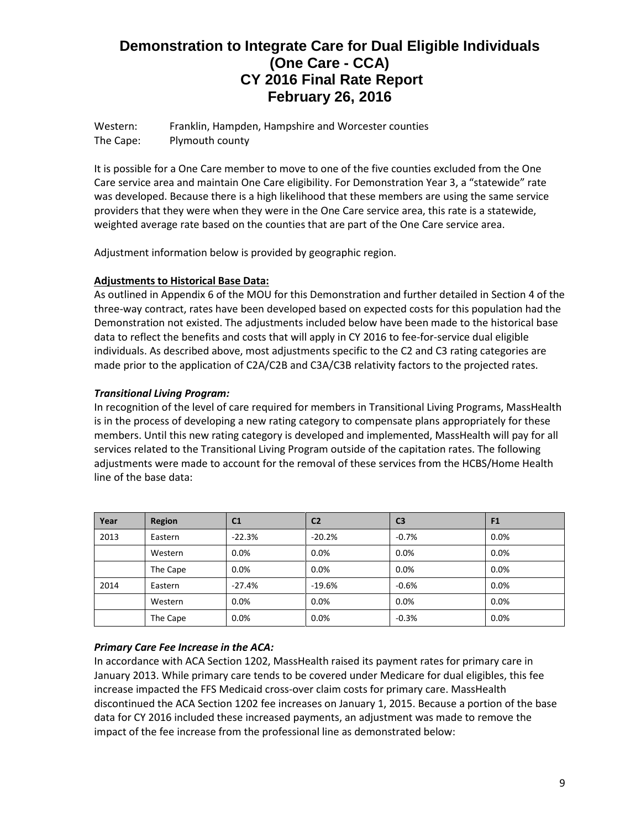Western: Franklin, Hampden, Hampshire and Worcester counties The Cape: Plymouth county

It is possible for a One Care member to move to one of the five counties excluded from the One Care service area and maintain One Care eligibility. For Demonstration Year 3, a "statewide" rate was developed. Because there is a high likelihood that these members are using the same service providers that they were when they were in the One Care service area, this rate is a statewide, weighted average rate based on the counties that are part of the One Care service area.

Adjustment information below is provided by geographic region.

### **Adjustments to Historical Base Data:**

As outlined in Appendix 6 of the MOU for this Demonstration and further detailed in Section 4 of the three-way contract, rates have been developed based on expected costs for this population had the Demonstration not existed. The adjustments included below have been made to the historical base data to reflect the benefits and costs that will apply in CY 2016 to fee-for-service dual eligible individuals. As described above, most adjustments specific to the C2 and C3 rating categories are made prior to the application of C2A/C2B and C3A/C3B relativity factors to the projected rates.

# *Transitional Living Program:*

In recognition of the level of care required for members in Transitional Living Programs, MassHealth is in the process of developing a new rating category to compensate plans appropriately for these members. Until this new rating category is developed and implemented, MassHealth will pay for all services related to the Transitional Living Program outside of the capitation rates. The following adjustments were made to account for the removal of these services from the HCBS/Home Health line of the base data:

| Year | Region   | C <sub>1</sub> | C <sub>2</sub> | C <sub>3</sub> | F <sub>1</sub> |
|------|----------|----------------|----------------|----------------|----------------|
| 2013 | Eastern  | $-22.3%$       | $-20.2%$       | $-0.7\%$       | 0.0%           |
|      | Western  | 0.0%           | 0.0%           | $0.0\%$        | 0.0%           |
|      | The Cape | 0.0%           | 0.0%           | $0.0\%$        | 0.0%           |
| 2014 | Eastern  | $-27.4%$       | $-19.6%$       | $-0.6%$        | 0.0%           |
|      | Western  | 0.0%           | 0.0%           | $0.0\%$        | 0.0%           |
|      | The Cape | 0.0%           | 0.0%           | $-0.3%$        | 0.0%           |

# *Primary Care Fee Increase in the ACA:*

In accordance with ACA Section 1202, MassHealth raised its payment rates for primary care in January 2013. While primary care tends to be covered under Medicare for dual eligibles, this fee increase impacted the FFS Medicaid cross-over claim costs for primary care. MassHealth discontinued the ACA Section 1202 fee increases on January 1, 2015. Because a portion of the base data for CY 2016 included these increased payments, an adjustment was made to remove the impact of the fee increase from the professional line as demonstrated below: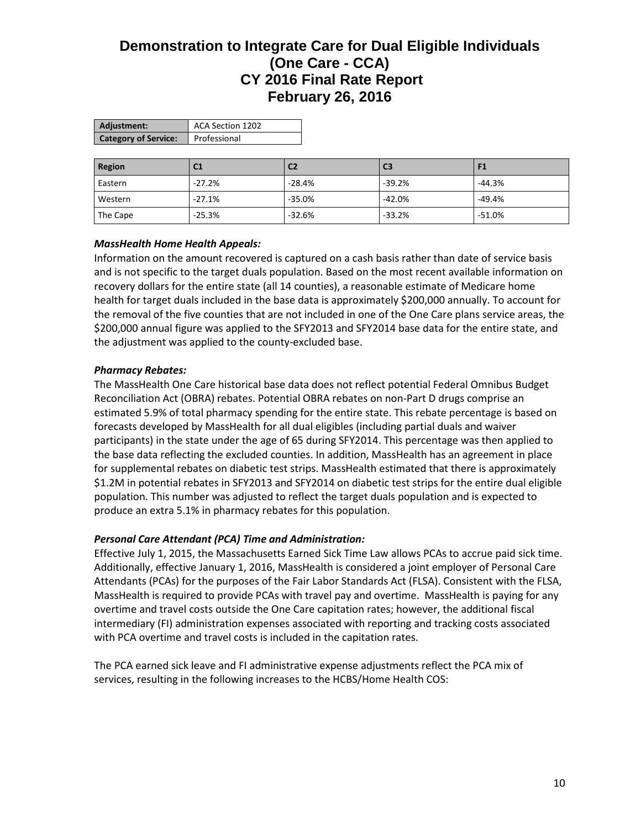| Adjustment:                 | ACA Section 1202 |
|-----------------------------|------------------|
| <b>Category of Service:</b> | Professional     |

| Region   | C <sub>1</sub> | C <sub>2</sub> | C <sub>3</sub> |          |
|----------|----------------|----------------|----------------|----------|
| Eastern  | $-27.2%$       | $-28.4%$       | $-39.2%$       | $-44.3%$ |
| Western  | $-27.1%$       | $-35.0%$       | $-42.0%$       | $-49.4%$ |
| The Cape | $-25.3%$       | $-32.6%$       | $-33.2%$       | $-51.0%$ |

### *MassHealth Home Health Appeals:*

Information on the amount recovered is captured on a cash basis rather than date of service basis and is not specific to the target duals population. Based on the most recent available information on recovery dollars for the entire state (all 14 counties), a reasonable estimate of Medicare home health for target duals included in the base data is approximately \$200,000 annually. To account for the removal of the five counties that are not included in one of the One Care plans service areas, the \$200,000 annual figure was applied to the SFY2013 and SFY2014 base data for the entire state, and the adjustment was applied to the county-excluded base.

#### *Pharmacy Rebates:*

The MassHealth One Care historical base data does not reflect potential Federal Omnibus Budget Reconciliation Act (OBRA) rebates. Potential OBRA rebates on non-Part D drugs comprise an estimated 5.9% of total pharmacy spending for the entire state. This rebate percentage is based on forecasts developed by MassHealth for all dual eligibles (including partial duals and waiver participants) in the state under the age of 65 during SFY2014. This percentage was then applied to the base data reflecting the excluded counties. In addition, MassHealth has an agreement in place for supplemental rebates on diabetic test strips. MassHealth estimated that there is approximately \$1.2M in potential rebates in SFY2013 and SFY2014 on diabetic test strips for the entire dual eligible population. This number was adjusted to reflect the target duals population and is expected to produce an extra 5.1% in pharmacy rebates for this population.

#### *Personal Care Attendant (PCA) Time and Administration:*

Effective July 1, 2015, the Massachusetts Earned Sick Time Law allows PCAs to accrue paid sick time. Additionally, effective January 1, 2016, MassHealth is considered a joint employer of Personal Care Attendants (PCAs) for the purposes of the Fair Labor Standards Act (FLSA). Consistent with the FLSA, MassHealth is required to provide PCAs with travel pay and overtime. MassHealth is paying for any overtime and travel costs outside the One Care capitation rates; however, the additional fiscal intermediary (FI) administration expenses associated with reporting and tracking costs associated with PCA overtime and travel costs is included in the capitation rates.

The PCA earned sick leave and FI administrative expense adjustments reflect the PCA mix of services, resulting in the following increases to the HCBS/Home Health COS: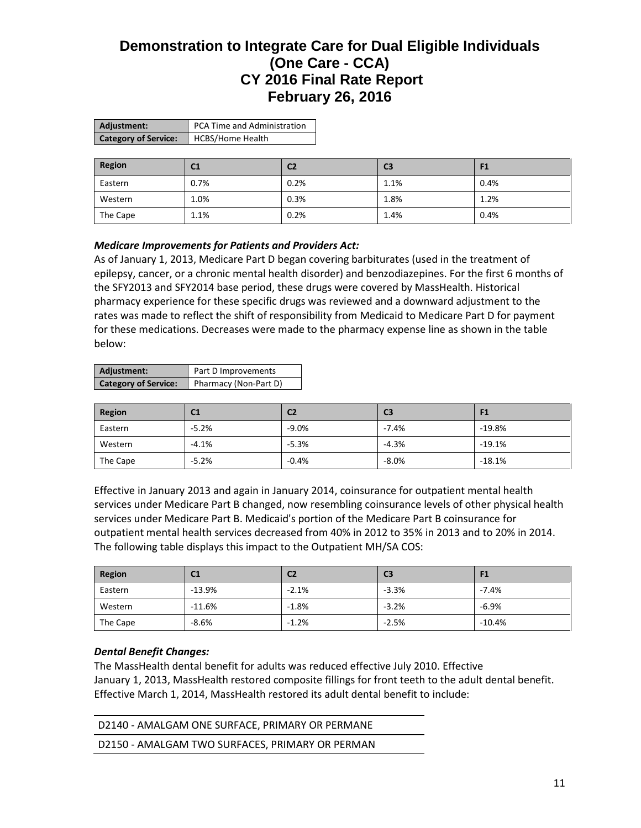| Adjustment:                 | PCA Time and Administration |
|-----------------------------|-----------------------------|
| <b>Category of Service:</b> | <b>HCBS/Home Health</b>     |

| Region   | C <sub>1</sub> | C <sub>2</sub> | C <sub>3</sub> | F <sub>1</sub> |
|----------|----------------|----------------|----------------|----------------|
| Eastern  | 0.7%           | 0.2%           | 1.1%           | 0.4%           |
| Western  | 1.0%           | 0.3%           | 1.8%           | 1.2%           |
| The Cape | 1.1%           | 0.2%           | 1.4%           | 0.4%           |

### *Medicare Improvements for Patients and Providers Act:*

As of January 1, 2013, Medicare Part D began covering barbiturates (used in the treatment of epilepsy, cancer, or a chronic mental health disorder) and benzodiazepines. For the first 6 months of the SFY2013 and SFY2014 base period, these drugs were covered by MassHealth. Historical pharmacy experience for these specific drugs was reviewed and a downward adjustment to the rates was made to reflect the shift of responsibility from Medicaid to Medicare Part D for payment for these medications. Decreases were made to the pharmacy expense line as shown in the table below:

| Adjustment:                 | Part D Improvements   |
|-----------------------------|-----------------------|
| <b>Category of Service:</b> | Pharmacy (Non-Part D) |

| Region   | C <sub>1</sub> | C <sub>2</sub> | C <sub>3</sub> | 91       |
|----------|----------------|----------------|----------------|----------|
| Eastern  | $-5.2%$        | $-9.0%$        | $-7.4%$        | $-19.8%$ |
| Western  | $-4.1%$        | $-5.3%$        | $-4.3%$        | $-19.1%$ |
| The Cape | $-5.2%$        | $-0.4%$        | $-8.0%$        | $-18.1%$ |

Effective in January 2013 and again in January 2014, coinsurance for outpatient mental health services under Medicare Part B changed, now resembling coinsurance levels of other physical health services under Medicare Part B. Medicaid's portion of the Medicare Part B coinsurance for outpatient mental health services decreased from 40% in 2012 to 35% in 2013 and to 20% in 2014. The following table displays this impact to the Outpatient MH/SA COS:

| Region   | C1       | C <sub>2</sub> | C <sub>3</sub> | F1       |
|----------|----------|----------------|----------------|----------|
| Eastern  | $-13.9%$ | $-2.1%$        | $-3.3%$        | $-7.4%$  |
| Western  | $-11.6%$ | $-1.8%$        | $-3.2%$        | $-6.9%$  |
| The Cape | $-8.6%$  | $-1.2%$        | $-2.5%$        | $-10.4%$ |

#### *Dental Benefit Changes:*

The MassHealth dental benefit for adults was reduced effective July 2010. Effective January 1, 2013, MassHealth restored composite fillings for front teeth to the adult dental benefit. Effective March 1, 2014, MassHealth restored its adult dental benefit to include:

| D2140 - AMALGAM ONE SURFACE, PRIMARY OR PERMANE |  |
|-------------------------------------------------|--|
| D2150 - AMALGAM TWO SURFACES, PRIMARY OR PERMAN |  |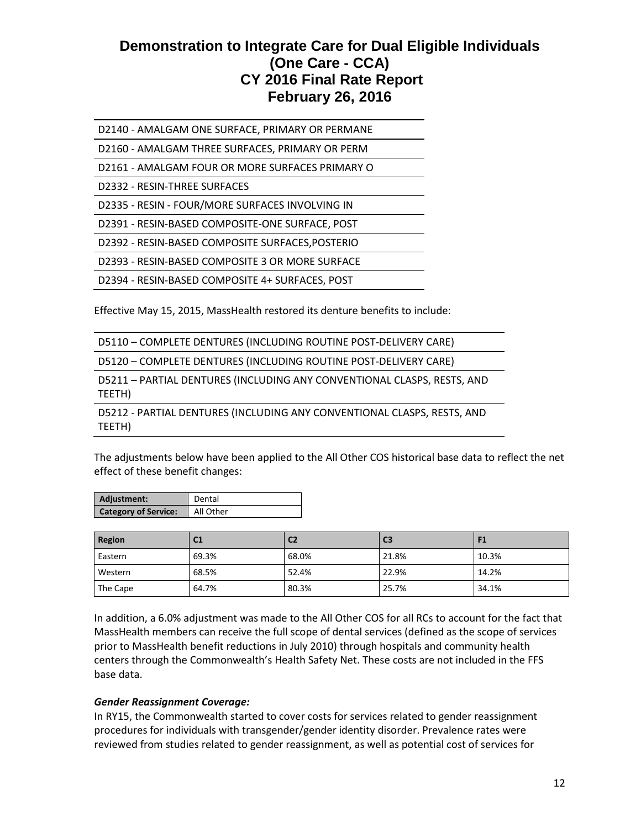D2140 - AMALGAM ONE SURFACE, PRIMARY OR PERMANE

D2160 - AMALGAM THREE SURFACES, PRIMARY OR PERM

D2161 - AMALGAM FOUR OR MORE SURFACES PRIMARY O

D2332 - RESIN-THREE SURFACES

D2335 - RESIN - FOUR/MORE SURFACES INVOLVING IN

D2391 - RESIN-BASED COMPOSITE-ONE SURFACE, POST

D2392 - RESIN-BASED COMPOSITE SURFACES,POSTERIO

D2393 - RESIN-BASED COMPOSITE 3 OR MORE SURFACE

D2394 - RESIN-BASED COMPOSITE 4+ SURFACES, POST

Effective May 15, 2015, MassHealth restored its denture benefits to include:

|  | D5110 - COMPLETE DENTURES (INCLUDING ROUTINE POST-DELIVERY CARE) |  |
|--|------------------------------------------------------------------|--|
|--|------------------------------------------------------------------|--|

D5120 – COMPLETE DENTURES (INCLUDING ROUTINE POST-DELIVERY CARE)

D5211 – PARTIAL DENTURES (INCLUDING ANY CONVENTIONAL CLASPS, RESTS, AND TEETH)

D5212 - PARTIAL DENTURES (INCLUDING ANY CONVENTIONAL CLASPS, RESTS, AND TEETH)

The adjustments below have been applied to the All Other COS historical base data to reflect the net effect of these benefit changes:

| Adjustment:                 | Dental    |
|-----------------------------|-----------|
| <b>Category of Service:</b> | All Other |

| <b>Region</b> | C1    | C <sub>2</sub> | C <sub>3</sub> |       |
|---------------|-------|----------------|----------------|-------|
| Eastern       | 69.3% | 68.0%          | 21.8%          | 10.3% |
| Western       | 68.5% | 52.4%          | 22.9%          | 14.2% |
| The Cape      | 64.7% | 80.3%          | 25.7%          | 34.1% |

In addition, a 6.0% adjustment was made to the All Other COS for all RCs to account for the fact that MassHealth members can receive the full scope of dental services (defined as the scope of services prior to MassHealth benefit reductions in July 2010) through hospitals and community health centers through the Commonwealth's Health Safety Net. These costs are not included in the FFS base data.

#### *Gender Reassignment Coverage:*

In RY15, the Commonwealth started to cover costs for services related to gender reassignment procedures for individuals with transgender/gender identity disorder. Prevalence rates were reviewed from studies related to gender reassignment, as well as potential cost of services for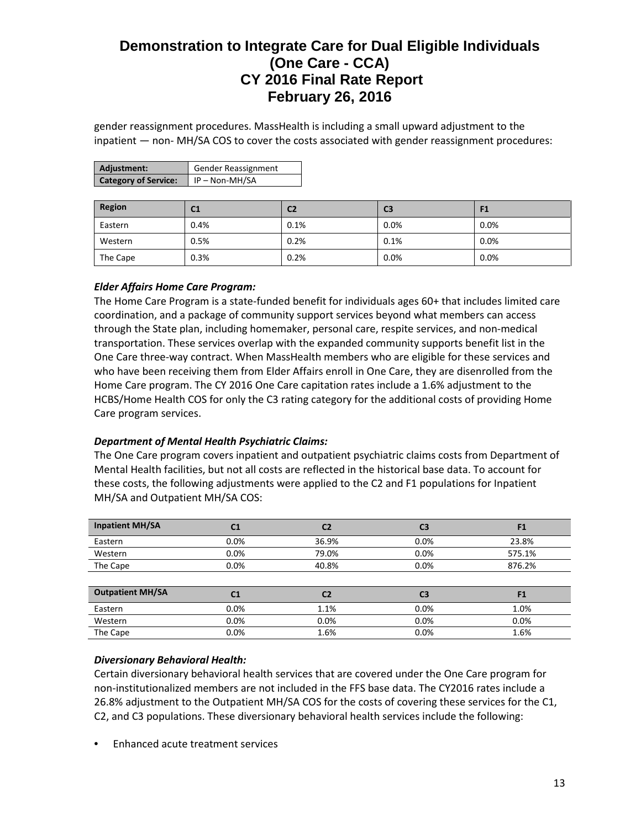gender reassignment procedures. MassHealth is including a small upward adjustment to the inpatient — non- MH/SA COS to cover the costs associated with gender reassignment procedures:

| Adjustment:                 | <b>Gender Reassignment</b> |
|-----------------------------|----------------------------|
| <b>Category of Service:</b> | $\vert$ IP – Non-MH/SA     |

| Region   | C1   | C2   | C <sub>3</sub> | F1      |
|----------|------|------|----------------|---------|
| Eastern  | 0.4% | 0.1% | 0.0%           | 0.0%    |
| Western  | 0.5% | 0.2% | 0.1%           | 0.0%    |
| The Cape | 0.3% | 0.2% | 0.0%           | $0.0\%$ |

# *Elder Affairs Home Care Program:*

The Home Care Program is a state-funded benefit for individuals ages 60+ that includes limited care coordination, and a package of community support services beyond what members can access through the State plan, including homemaker, personal care, respite services, and non-medical transportation. These services overlap with the expanded community supports benefit list in the One Care three-way contract. When MassHealth members who are eligible for these services and who have been receiving them from Elder Affairs enroll in One Care, they are disenrolled from the Home Care program. The CY 2016 One Care capitation rates include a 1.6% adjustment to the HCBS/Home Health COS for only the C3 rating category for the additional costs of providing Home Care program services.

#### *Department of Mental Health Psychiatric Claims:*

The One Care program covers inpatient and outpatient psychiatric claims costs from Department of Mental Health facilities, but not all costs are reflected in the historical base data. To account for these costs, the following adjustments were applied to the C2 and F1 populations for Inpatient MH/SA and Outpatient MH/SA COS:

| <b>Inpatient MH/SA</b>  | C <sub>1</sub> | C <sub>2</sub> | C <sub>3</sub> | F <sub>1</sub> |
|-------------------------|----------------|----------------|----------------|----------------|
| Eastern                 | 0.0%           | 36.9%          | 0.0%           | 23.8%          |
| Western                 | 0.0%           | 79.0%          | 0.0%           | 575.1%         |
| The Cape                | $0.0\%$        | 40.8%          | 0.0%           | 876.2%         |
|                         |                |                |                |                |
| <b>Outpatient MH/SA</b> | C <sub>1</sub> | C <sub>2</sub> | C3             | F <sub>1</sub> |
| Eastern                 | 0.0%           | 1.1%           | 0.0%           | 1.0%           |
| Western                 | 0.0%           | 0.0%           | 0.0%           | 0.0%           |
| The Cape                | 0.0%           | 1.6%           | 0.0%           | 1.6%           |

# *Diversionary Behavioral Health:*

Certain diversionary behavioral health services that are covered under the One Care program for non-institutionalized members are not included in the FFS base data. The CY2016 rates include a 26.8% adjustment to the Outpatient MH/SA COS for the costs of covering these services for the C1, C2, and C3 populations. These diversionary behavioral health services include the following:

• Enhanced acute treatment services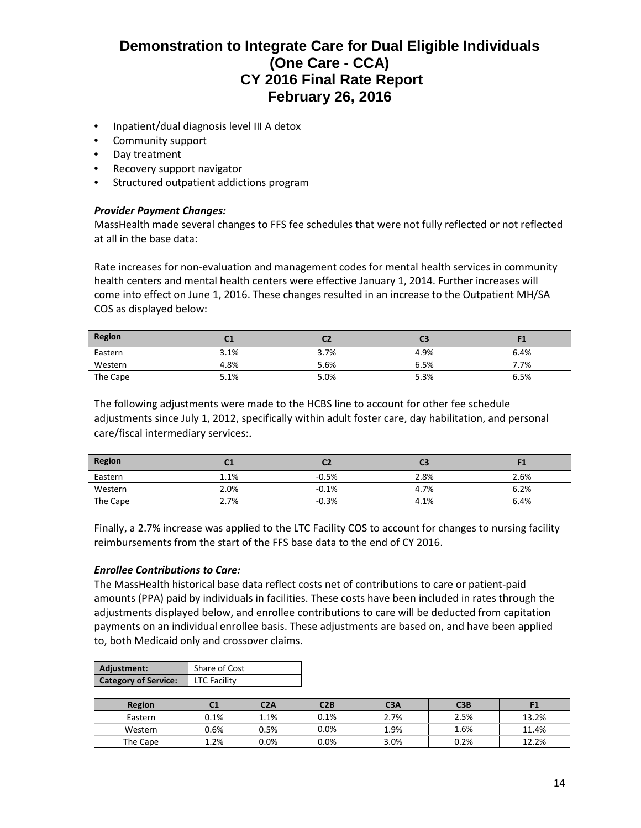- Inpatient/dual diagnosis level III A detox
- Community support
- Day treatment
- Recovery support navigator
- Structured outpatient addictions program

#### *Provider Payment Changes:*

MassHealth made several changes to FFS fee schedules that were not fully reflected or not reflected at all in the base data:

Rate increases for non-evaluation and management codes for mental health services in community health centers and mental health centers were effective January 1, 2014. Further increases will come into effect on June 1, 2016. These changes resulted in an increase to the Outpatient MH/SA COS as displayed below:

| <b>Region</b> | - -  |      | C3   |      |
|---------------|------|------|------|------|
| Eastern       | 3.1% | 3.7% | 4.9% | 6.4% |
| Western       | 4.8% | 5.6% | 6.5% | 7.7% |
| The Cape      | 5.1% | 5.0% | 5.3% | 6.5% |

The following adjustments were made to the HCBS line to account for other fee schedule adjustments since July 1, 2012, specifically within adult foster care, day habilitation, and personal care/fiscal intermediary services:.

| <b>Region</b><br>the control of the control of the control | u.l  |         | C3   |      |
|------------------------------------------------------------|------|---------|------|------|
| Eastern                                                    | 1.1% | $-0.5%$ | 2.8% | 2.6% |
| Western                                                    | 2.0% | $-0.1%$ | 4.7% | 6.2% |
| The Cape                                                   | 2.7% | $-0.3%$ | 4.1% | 6.4% |

Finally, a 2.7% increase was applied to the LTC Facility COS to account for changes to nursing facility reimbursements from the start of the FFS base data to the end of CY 2016.

#### *Enrollee Contributions to Care:*

The MassHealth historical base data reflect costs net of contributions to care or patient-paid amounts (PPA) paid by individuals in facilities. These costs have been included in rates through the adjustments displayed below, and enrollee contributions to care will be deducted from capitation payments on an individual enrollee basis. These adjustments are based on, and have been applied to, both Medicaid only and crossover claims.

| Adjustment:                 | Share of Cost       |
|-----------------------------|---------------------|
| <b>Category of Service:</b> | <b>LTC Facility</b> |

| <b>Region</b> | $\mathcal{L}$<br>u | C2A     | C2B     | C <sub>3A</sub> | C3B  |       |
|---------------|--------------------|---------|---------|-----------------|------|-------|
| Eastern       | 0.1%               | $1.1\%$ | 0.1%    | 2.7%            | 2.5% | 13.2% |
| Western       | 0.6%               | 0.5%    | 0.0%    | 1.9%            | 1.6% | 11.4% |
| The Cape      | 2%                 | $0.0\%$ | $0.0\%$ | 3.0%            | 0.2% | 12.2% |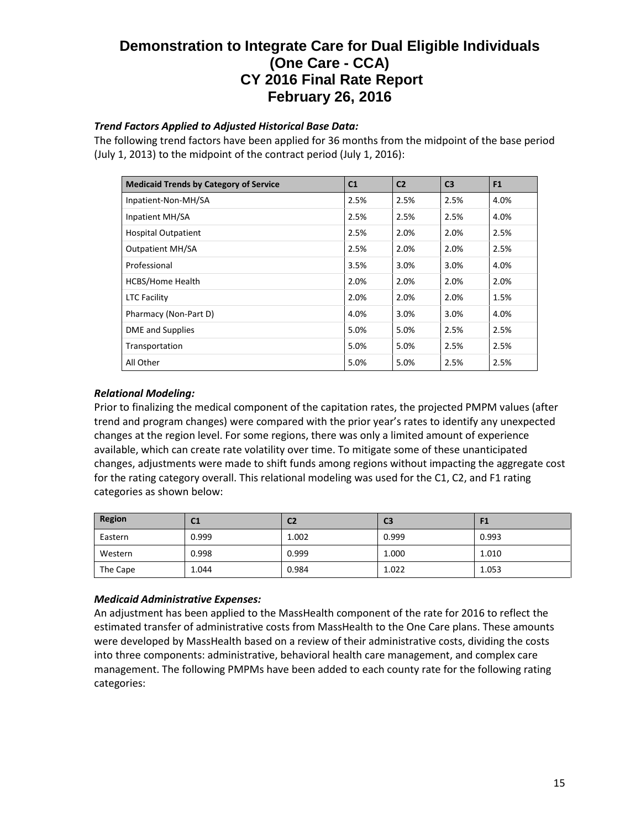# *Trend Factors Applied to Adjusted Historical Base Data:*

The following trend factors have been applied for 36 months from the midpoint of the base period (July 1, 2013) to the midpoint of the contract period (July 1, 2016):

| <b>Medicaid Trends by Category of Service</b> | C <sub>1</sub> | C <sub>2</sub> | C <sub>3</sub> | F <sub>1</sub> |
|-----------------------------------------------|----------------|----------------|----------------|----------------|
| Inpatient-Non-MH/SA                           | 2.5%           | 2.5%           | 2.5%           | 4.0%           |
| Inpatient MH/SA                               | 2.5%           | 2.5%           | 2.5%           | 4.0%           |
| <b>Hospital Outpatient</b>                    | 2.5%           | 2.0%           | 2.0%           | 2.5%           |
| <b>Outpatient MH/SA</b>                       | 2.5%           | 2.0%           | 2.0%           | 2.5%           |
| Professional                                  | 3.5%           | 3.0%           | 3.0%           | 4.0%           |
| <b>HCBS/Home Health</b>                       | 2.0%           | 2.0%           | 2.0%           | 2.0%           |
| <b>LTC Facility</b>                           | 2.0%           | 2.0%           | 2.0%           | 1.5%           |
| Pharmacy (Non-Part D)                         | 4.0%           | 3.0%           | 3.0%           | 4.0%           |
| <b>DME</b> and Supplies                       | 5.0%           | 5.0%           | 2.5%           | 2.5%           |
| Transportation                                | 5.0%           | 5.0%           | 2.5%           | 2.5%           |
| All Other                                     | 5.0%           | 5.0%           | 2.5%           | 2.5%           |

# *Relational Modeling:*

Prior to finalizing the medical component of the capitation rates, the projected PMPM values (after trend and program changes) were compared with the prior year's rates to identify any unexpected changes at the region level. For some regions, there was only a limited amount of experience available, which can create rate volatility over time. To mitigate some of these unanticipated changes, adjustments were made to shift funds among regions without impacting the aggregate cost for the rating category overall. This relational modeling was used for the C1, C2, and F1 rating categories as shown below:

| Region   | C1    | C <sub>2</sub> | C <sub>3</sub> | 41    |
|----------|-------|----------------|----------------|-------|
| Eastern  | 0.999 | 1.002          | 0.999          | 0.993 |
| Western  | 0.998 | 0.999          | 1.000          | 1.010 |
| The Cape | 1.044 | 0.984          | 1.022          | 1.053 |

# *Medicaid Administrative Expenses:*

An adjustment has been applied to the MassHealth component of the rate for 2016 to reflect the estimated transfer of administrative costs from MassHealth to the One Care plans. These amounts were developed by MassHealth based on a review of their administrative costs, dividing the costs into three components: administrative, behavioral health care management, and complex care management. The following PMPMs have been added to each county rate for the following rating categories: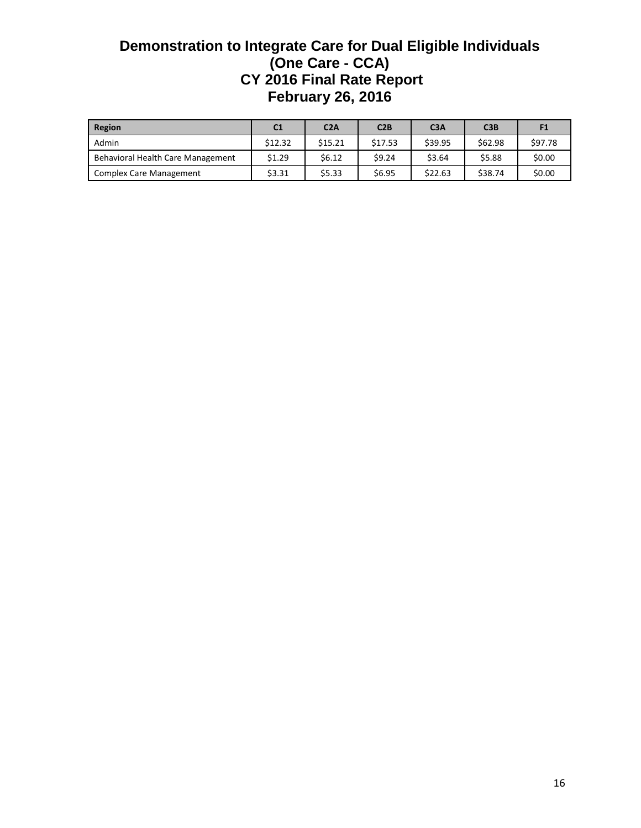| Region                            | C <sub>1</sub> | C2A     | C2B     | C <sub>3A</sub> | C3B     | F1      |
|-----------------------------------|----------------|---------|---------|-----------------|---------|---------|
| Admin                             | \$12.32        | \$15.21 | \$17.53 | \$39.95         | \$62.98 | \$97.78 |
| Behavioral Health Care Management | \$1.29         | \$6.12  | \$9.24  | \$3.64          | \$5.88  | \$0.00  |
| <b>Complex Care Management</b>    | \$3.31         | \$5.33  | \$6.95  | \$22.63         | \$38.74 | \$0.00  |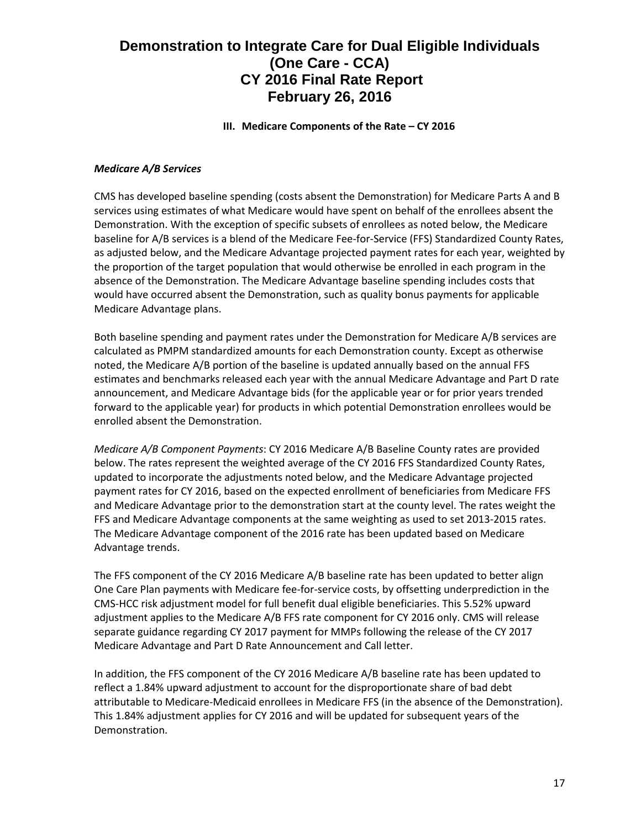**III. Medicare Components of the Rate – CY 2016**

### *Medicare A/B Services*

CMS has developed baseline spending (costs absent the Demonstration) for Medicare Parts A and B services using estimates of what Medicare would have spent on behalf of the enrollees absent the Demonstration. With the exception of specific subsets of enrollees as noted below, the Medicare baseline for A/B services is a blend of the Medicare Fee-for-Service (FFS) Standardized County Rates, as adjusted below, and the Medicare Advantage projected payment rates for each year, weighted by the proportion of the target population that would otherwise be enrolled in each program in the absence of the Demonstration. The Medicare Advantage baseline spending includes costs that would have occurred absent the Demonstration, such as quality bonus payments for applicable Medicare Advantage plans.

Both baseline spending and payment rates under the Demonstration for Medicare A/B services are calculated as PMPM standardized amounts for each Demonstration county. Except as otherwise noted, the Medicare A/B portion of the baseline is updated annually based on the annual FFS estimates and benchmarks released each year with the annual Medicare Advantage and Part D rate announcement, and Medicare Advantage bids (for the applicable year or for prior years trended forward to the applicable year) for products in which potential Demonstration enrollees would be enrolled absent the Demonstration.

*Medicare A/B Component Payments*: CY 2016 Medicare A/B Baseline County rates are provided below. The rates represent the weighted average of the CY 2016 FFS Standardized County Rates, updated to incorporate the adjustments noted below, and the Medicare Advantage projected payment rates for CY 2016, based on the expected enrollment of beneficiaries from Medicare FFS and Medicare Advantage prior to the demonstration start at the county level. The rates weight the FFS and Medicare Advantage components at the same weighting as used to set 2013-2015 rates. The Medicare Advantage component of the 2016 rate has been updated based on Medicare Advantage trends.

The FFS component of the CY 2016 Medicare A/B baseline rate has been updated to better align One Care Plan payments with Medicare fee-for-service costs, by offsetting underprediction in the CMS-HCC risk adjustment model for full benefit dual eligible beneficiaries. This 5.52% upward adjustment applies to the Medicare A/B FFS rate component for CY 2016 only. CMS will release separate guidance regarding CY 2017 payment for MMPs following the release of the CY 2017 Medicare Advantage and Part D Rate Announcement and Call letter.

In addition, the FFS component of the CY 2016 Medicare A/B baseline rate has been updated to reflect a 1.84% upward adjustment to account for the disproportionate share of bad debt attributable to Medicare-Medicaid enrollees in Medicare FFS (in the absence of the Demonstration). This 1.84% adjustment applies for CY 2016 and will be updated for subsequent years of the Demonstration.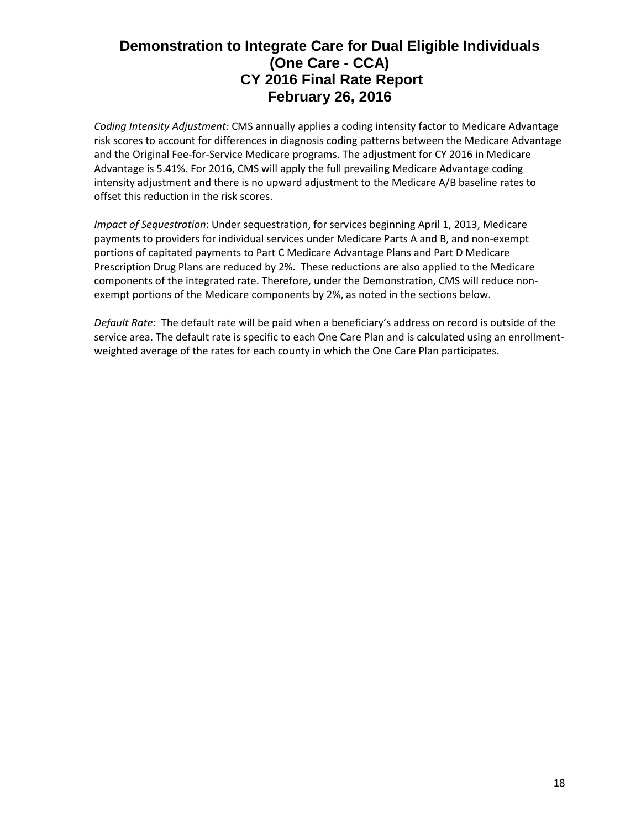*Coding Intensity Adjustment:* CMS annually applies a coding intensity factor to Medicare Advantage risk scores to account for differences in diagnosis coding patterns between the Medicare Advantage and the Original Fee-for-Service Medicare programs. The adjustment for CY 2016 in Medicare Advantage is 5.41%. For 2016, CMS will apply the full prevailing Medicare Advantage coding intensity adjustment and there is no upward adjustment to the Medicare A/B baseline rates to offset this reduction in the risk scores.

*Impact of Sequestration*: Under sequestration, for services beginning April 1, 2013, Medicare payments to providers for individual services under Medicare Parts A and B, and non-exempt portions of capitated payments to Part C Medicare Advantage Plans and Part D Medicare Prescription Drug Plans are reduced by 2%. These reductions are also applied to the Medicare components of the integrated rate. Therefore, under the Demonstration, CMS will reduce nonexempt portions of the Medicare components by 2%, as noted in the sections below.

*Default Rate:* The default rate will be paid when a beneficiary's address on record is outside of the service area. The default rate is specific to each One Care Plan and is calculated using an enrollmentweighted average of the rates for each county in which the One Care Plan participates.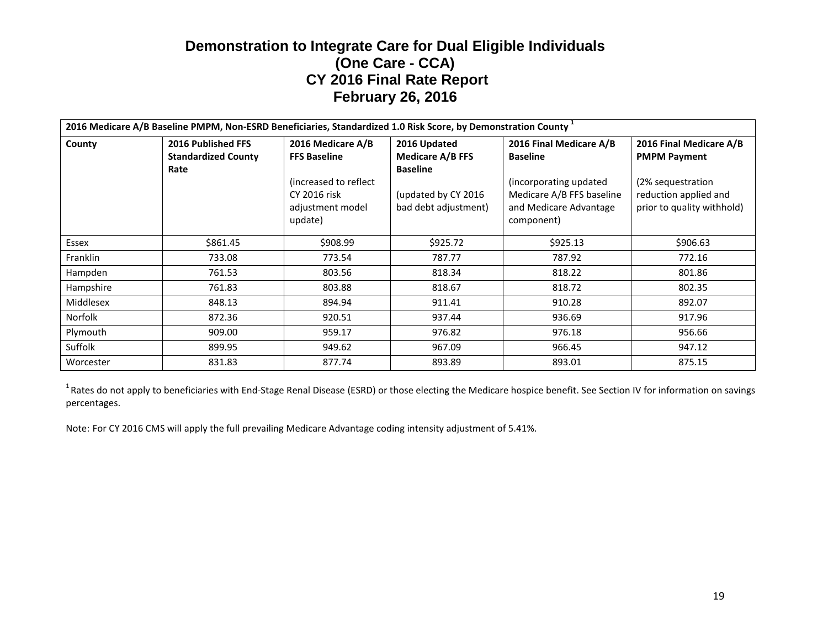| 2016 Medicare A/B Baseline PMPM, Non-ESRD Beneficiaries, Standardized 1.0 Risk Score, by Demonstration County 1 |                                                                 |                                                                                                                          |                                                                                                           |                                                                                                                                           |                                                                                                                            |
|-----------------------------------------------------------------------------------------------------------------|-----------------------------------------------------------------|--------------------------------------------------------------------------------------------------------------------------|-----------------------------------------------------------------------------------------------------------|-------------------------------------------------------------------------------------------------------------------------------------------|----------------------------------------------------------------------------------------------------------------------------|
| County                                                                                                          | <b>2016 Published FFS</b><br><b>Standardized County</b><br>Rate | 2016 Medicare A/B<br><b>FFS Baseline</b><br>(increased to reflect)<br><b>CY 2016 risk</b><br>adjustment model<br>update) | 2016 Updated<br><b>Medicare A/B FFS</b><br><b>Baseline</b><br>(updated by CY 2016<br>bad debt adjustment) | 2016 Final Medicare A/B<br><b>Baseline</b><br>(incorporating updated<br>Medicare A/B FFS baseline<br>and Medicare Advantage<br>component) | 2016 Final Medicare A/B<br><b>PMPM Payment</b><br>(2% sequestration<br>reduction applied and<br>prior to quality withhold) |
| Essex                                                                                                           | \$861.45                                                        | \$908.99                                                                                                                 | \$925.72                                                                                                  | \$925.13                                                                                                                                  | \$906.63                                                                                                                   |
| Franklin                                                                                                        | 733.08                                                          | 773.54                                                                                                                   | 787.77                                                                                                    | 787.92                                                                                                                                    | 772.16                                                                                                                     |
| Hampden                                                                                                         | 761.53                                                          | 803.56                                                                                                                   | 818.34                                                                                                    | 818.22                                                                                                                                    | 801.86                                                                                                                     |
| Hampshire                                                                                                       | 761.83                                                          | 803.88                                                                                                                   | 818.67                                                                                                    | 818.72                                                                                                                                    | 802.35                                                                                                                     |
| Middlesex                                                                                                       | 848.13                                                          | 894.94                                                                                                                   | 911.41                                                                                                    | 910.28                                                                                                                                    | 892.07                                                                                                                     |
| Norfolk                                                                                                         | 872.36                                                          | 920.51                                                                                                                   | 937.44                                                                                                    | 936.69                                                                                                                                    | 917.96                                                                                                                     |
| Plymouth                                                                                                        | 909.00                                                          | 959.17                                                                                                                   | 976.82                                                                                                    | 976.18                                                                                                                                    | 956.66                                                                                                                     |
| Suffolk                                                                                                         | 899.95                                                          | 949.62                                                                                                                   | 967.09                                                                                                    | 966.45                                                                                                                                    | 947.12                                                                                                                     |
| Worcester                                                                                                       | 831.83                                                          | 877.74                                                                                                                   | 893.89                                                                                                    | 893.01                                                                                                                                    | 875.15                                                                                                                     |

<sup>1</sup> Rates do not apply to beneficiaries with End-Stage Renal Disease (ESRD) or those electing the Medicare hospice benefit. See Section IV for information on savings percentages.

Note: For CY 2016 CMS will apply the full prevailing Medicare Advantage coding intensity adjustment of 5.41%.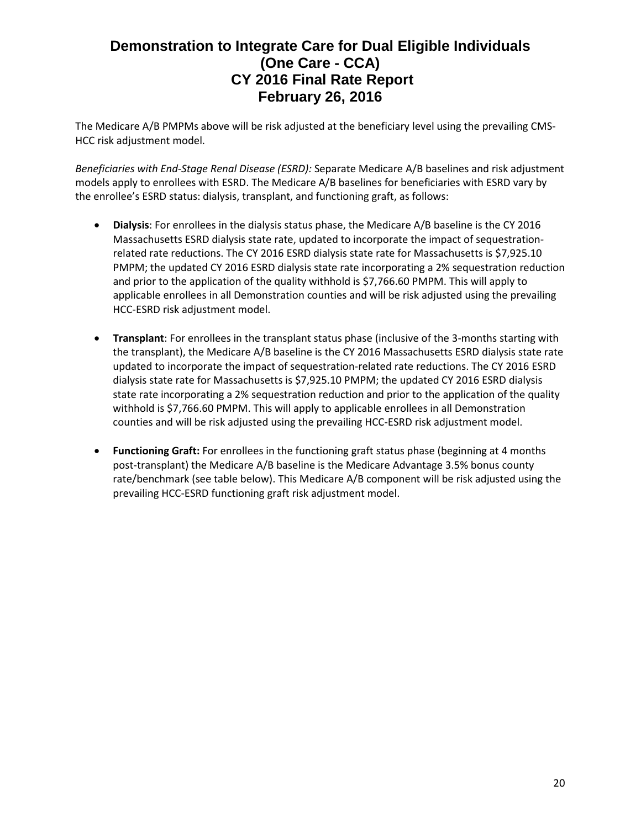The Medicare A/B PMPMs above will be risk adjusted at the beneficiary level using the prevailing CMS-HCC risk adjustment model.

*Beneficiaries with End-Stage Renal Disease (ESRD):* Separate Medicare A/B baselines and risk adjustment models apply to enrollees with ESRD. The Medicare A/B baselines for beneficiaries with ESRD vary by the enrollee's ESRD status: dialysis, transplant, and functioning graft, as follows:

- **Dialysis**: For enrollees in the dialysis status phase, the Medicare A/B baseline is the CY 2016 Massachusetts ESRD dialysis state rate, updated to incorporate the impact of sequestrationrelated rate reductions. The CY 2016 ESRD dialysis state rate for Massachusetts is \$7,925.10 PMPM; the updated CY 2016 ESRD dialysis state rate incorporating a 2% sequestration reduction and prior to the application of the quality withhold is \$7,766.60 PMPM. This will apply to applicable enrollees in all Demonstration counties and will be risk adjusted using the prevailing HCC-ESRD risk adjustment model.
- **Transplant**: For enrollees in the transplant status phase (inclusive of the 3-months starting with the transplant), the Medicare A/B baseline is the CY 2016 Massachusetts ESRD dialysis state rate updated to incorporate the impact of sequestration-related rate reductions. The CY 2016 ESRD dialysis state rate for Massachusetts is \$7,925.10 PMPM; the updated CY 2016 ESRD dialysis state rate incorporating a 2% sequestration reduction and prior to the application of the quality withhold is \$7,766.60 PMPM. This will apply to applicable enrollees in all Demonstration counties and will be risk adjusted using the prevailing HCC-ESRD risk adjustment model.
- **Functioning Graft:** For enrollees in the functioning graft status phase (beginning at 4 months post-transplant) the Medicare A/B baseline is the Medicare Advantage 3.5% bonus county rate/benchmark (see table below). This Medicare A/B component will be risk adjusted using the prevailing HCC-ESRD functioning graft risk adjustment model.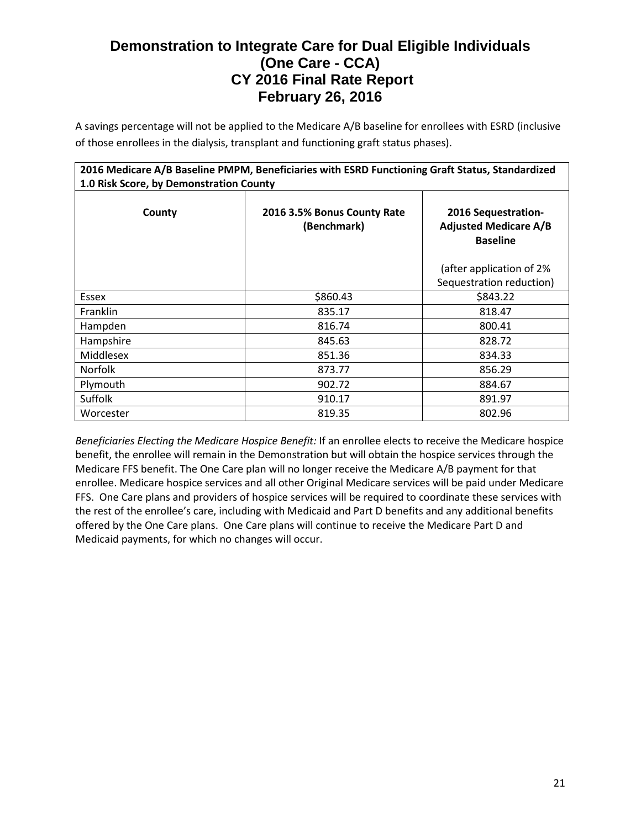A savings percentage will not be applied to the Medicare A/B baseline for enrollees with ESRD (inclusive of those enrollees in the dialysis, transplant and functioning graft status phases).

| 2016 Medicare A/B Baseline PMPM, Beneficiaries with ESRD Functioning Graft Status, Standardized<br>1.0 Risk Score, by Demonstration County |          |                                                                        |  |  |  |
|--------------------------------------------------------------------------------------------------------------------------------------------|----------|------------------------------------------------------------------------|--|--|--|
| County<br>2016 3.5% Bonus County Rate<br>(Benchmark)                                                                                       |          | 2016 Sequestration-<br><b>Adjusted Medicare A/B</b><br><b>Baseline</b> |  |  |  |
|                                                                                                                                            |          | (after application of 2%<br>Sequestration reduction)                   |  |  |  |
| Essex                                                                                                                                      | \$860.43 | \$843.22                                                               |  |  |  |
| Franklin                                                                                                                                   | 835.17   | 818.47                                                                 |  |  |  |
| Hampden                                                                                                                                    | 816.74   | 800.41                                                                 |  |  |  |
| Hampshire                                                                                                                                  | 845.63   | 828.72                                                                 |  |  |  |
| Middlesex                                                                                                                                  | 851.36   | 834.33                                                                 |  |  |  |
| <b>Norfolk</b>                                                                                                                             | 873.77   | 856.29                                                                 |  |  |  |
| Plymouth                                                                                                                                   | 902.72   | 884.67                                                                 |  |  |  |
| <b>Suffolk</b>                                                                                                                             | 910.17   | 891.97                                                                 |  |  |  |
| Worcester                                                                                                                                  | 819.35   | 802.96                                                                 |  |  |  |

*Beneficiaries Electing the Medicare Hospice Benefit:* If an enrollee elects to receive the Medicare hospice benefit, the enrollee will remain in the Demonstration but will obtain the hospice services through the Medicare FFS benefit. The One Care plan will no longer receive the Medicare A/B payment for that enrollee. Medicare hospice services and all other Original Medicare services will be paid under Medicare FFS. One Care plans and providers of hospice services will be required to coordinate these services with the rest of the enrollee's care, including with Medicaid and Part D benefits and any additional benefits offered by the One Care plans. One Care plans will continue to receive the Medicare Part D and Medicaid payments, for which no changes will occur.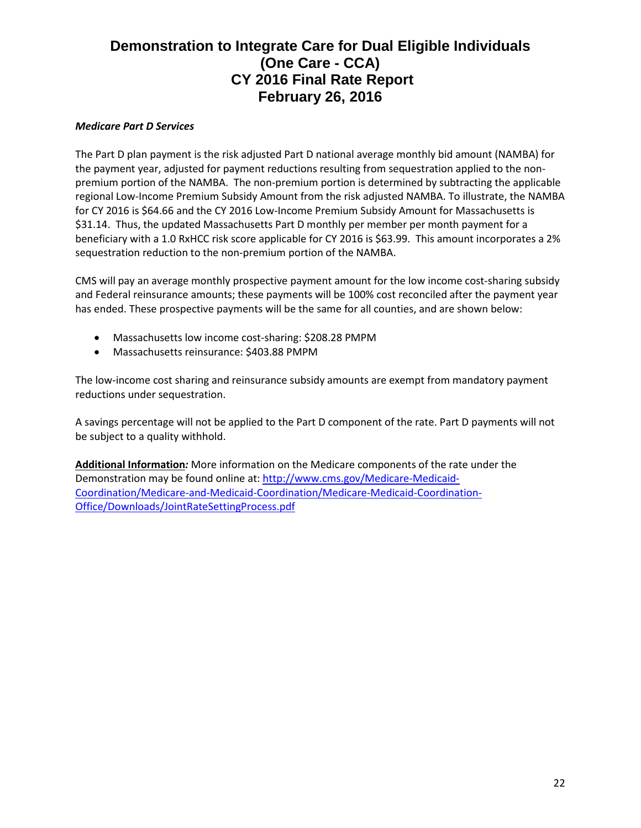### *Medicare Part D Services*

The Part D plan payment is the risk adjusted Part D national average monthly bid amount (NAMBA) for the payment year, adjusted for payment reductions resulting from sequestration applied to the nonpremium portion of the NAMBA. The non-premium portion is determined by subtracting the applicable regional Low-Income Premium Subsidy Amount from the risk adjusted NAMBA. To illustrate, the NAMBA for CY 2016 is \$64.66 and the CY 2016 Low-Income Premium Subsidy Amount for Massachusetts is \$31.14. Thus, the updated Massachusetts Part D monthly per member per month payment for a beneficiary with a 1.0 RxHCC risk score applicable for CY 2016 is \$63.99. This amount incorporates a 2% sequestration reduction to the non-premium portion of the NAMBA.

CMS will pay an average monthly prospective payment amount for the low income cost-sharing subsidy and Federal reinsurance amounts; these payments will be 100% cost reconciled after the payment year has ended. These prospective payments will be the same for all counties, and are shown below:

- Massachusetts low income cost-sharing: \$208.28 PMPM
- Massachusetts reinsurance: \$403.88 PMPM

The low-income cost sharing and reinsurance subsidy amounts are exempt from mandatory payment reductions under sequestration.

A savings percentage will not be applied to the Part D component of the rate. Part D payments will not be subject to a quality withhold.

**Additional Information***:* More information on the Medicare components of the rate under the Demonstration may be found online at: [http://www.cms.gov/Medicare-Medicaid-](http://www.cms.gov/Medicare-Medicaid-Coordination/Medicare-and-Medicaid-Coordination/Medicare-Medicaid-Coordination-Office/Downloads/JointRateSettingProcess.pdf)[Coordination/Medicare-and-Medicaid-Coordination/Medicare-Medicaid-Coordination-](http://www.cms.gov/Medicare-Medicaid-Coordination/Medicare-and-Medicaid-Coordination/Medicare-Medicaid-Coordination-Office/Downloads/JointRateSettingProcess.pdf)[Office/Downloads/JointRateSettingProcess.pdf](http://www.cms.gov/Medicare-Medicaid-Coordination/Medicare-and-Medicaid-Coordination/Medicare-Medicaid-Coordination-Office/Downloads/JointRateSettingProcess.pdf)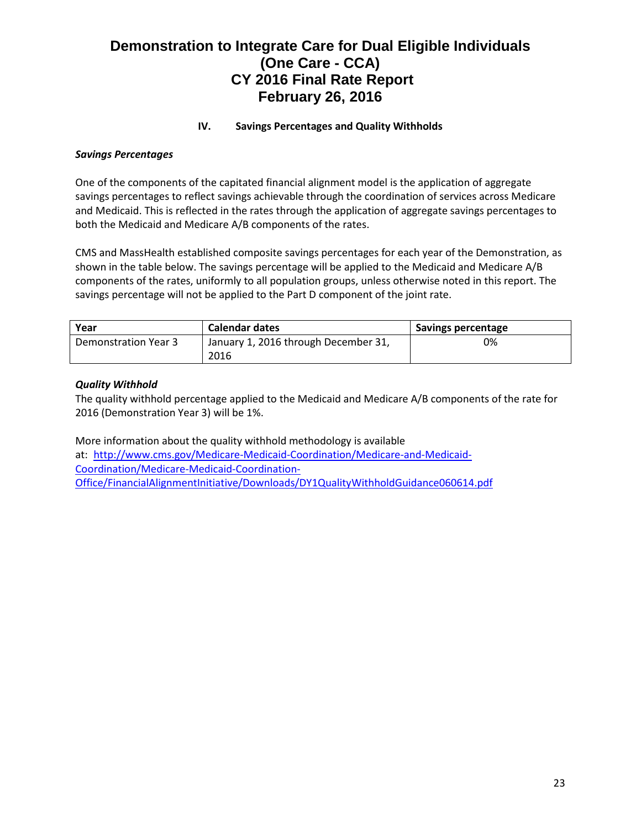### **IV. Savings Percentages and Quality Withholds**

#### *Savings Percentages*

One of the components of the capitated financial alignment model is the application of aggregate savings percentages to reflect savings achievable through the coordination of services across Medicare and Medicaid. This is reflected in the rates through the application of aggregate savings percentages to both the Medicaid and Medicare A/B components of the rates.

CMS and MassHealth established composite savings percentages for each year of the Demonstration, as shown in the table below. The savings percentage will be applied to the Medicaid and Medicare A/B components of the rates, uniformly to all population groups, unless otherwise noted in this report. The savings percentage will not be applied to the Part D component of the joint rate.

| Year                 | <b>Calendar dates</b>                | <b>Savings percentage</b> |
|----------------------|--------------------------------------|---------------------------|
| Demonstration Year 3 | January 1, 2016 through December 31, | 0%                        |
|                      | 2016                                 |                           |

### *Quality Withhold*

The quality withhold percentage applied to the Medicaid and Medicare A/B components of the rate for 2016 (Demonstration Year 3) will be 1%.

More information about the quality withhold methodology is available at: [http://www.cms.gov/Medicare-Medicaid-Coordination/Medicare-and-Medicaid-](http://www.cms.gov/Medicare-Medicaid-Coordination/Medicare-and-Medicaid-Coordination/Medicare-Medicaid-Coordination-Office/FinancialAlignmentInitiative/Downloads/DY1QualityWithholdGuidance060614.pdf)[Coordination/Medicare-Medicaid-Coordination-](http://www.cms.gov/Medicare-Medicaid-Coordination/Medicare-and-Medicaid-Coordination/Medicare-Medicaid-Coordination-Office/FinancialAlignmentInitiative/Downloads/DY1QualityWithholdGuidance060614.pdf)[Office/FinancialAlignmentInitiative/Downloads/DY1QualityWithholdGuidance060614.pdf](http://www.cms.gov/Medicare-Medicaid-Coordination/Medicare-and-Medicaid-Coordination/Medicare-Medicaid-Coordination-Office/FinancialAlignmentInitiative/Downloads/DY1QualityWithholdGuidance060614.pdf)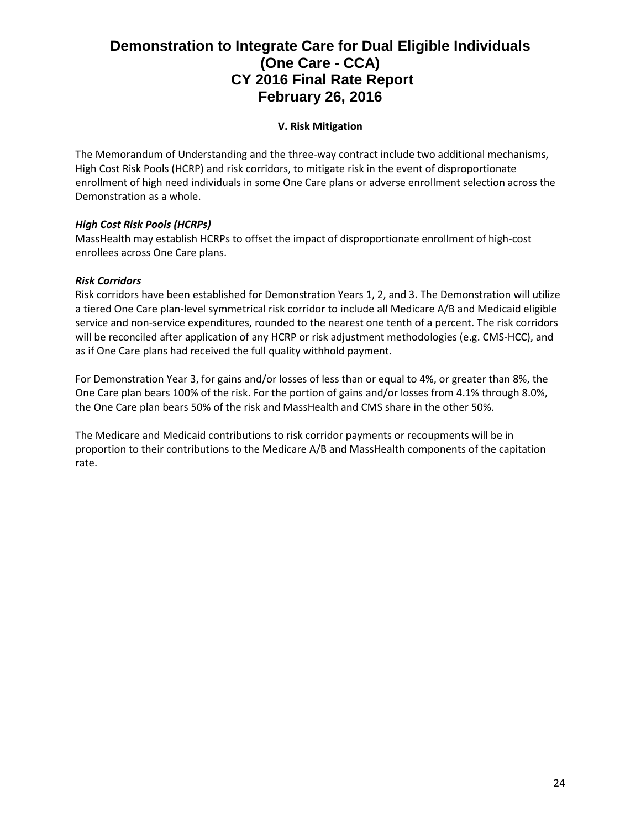# **V. Risk Mitigation**

The Memorandum of Understanding and the three-way contract include two additional mechanisms, High Cost Risk Pools (HCRP) and risk corridors, to mitigate risk in the event of disproportionate enrollment of high need individuals in some One Care plans or adverse enrollment selection across the Demonstration as a whole.

### *High Cost Risk Pools (HCRPs)*

MassHealth may establish HCRPs to offset the impact of disproportionate enrollment of high-cost enrollees across One Care plans.

#### *Risk Corridors*

Risk corridors have been established for Demonstration Years 1, 2, and 3. The Demonstration will utilize a tiered One Care plan-level symmetrical risk corridor to include all Medicare A/B and Medicaid eligible service and non-service expenditures, rounded to the nearest one tenth of a percent. The risk corridors will be reconciled after application of any HCRP or risk adjustment methodologies (e.g. CMS-HCC), and as if One Care plans had received the full quality withhold payment.

For Demonstration Year 3, for gains and/or losses of less than or equal to 4%, or greater than 8%, the One Care plan bears 100% of the risk. For the portion of gains and/or losses from 4.1% through 8.0%, the One Care plan bears 50% of the risk and MassHealth and CMS share in the other 50%.

The Medicare and Medicaid contributions to risk corridor payments or recoupments will be in proportion to their contributions to the Medicare A/B and MassHealth components of the capitation rate.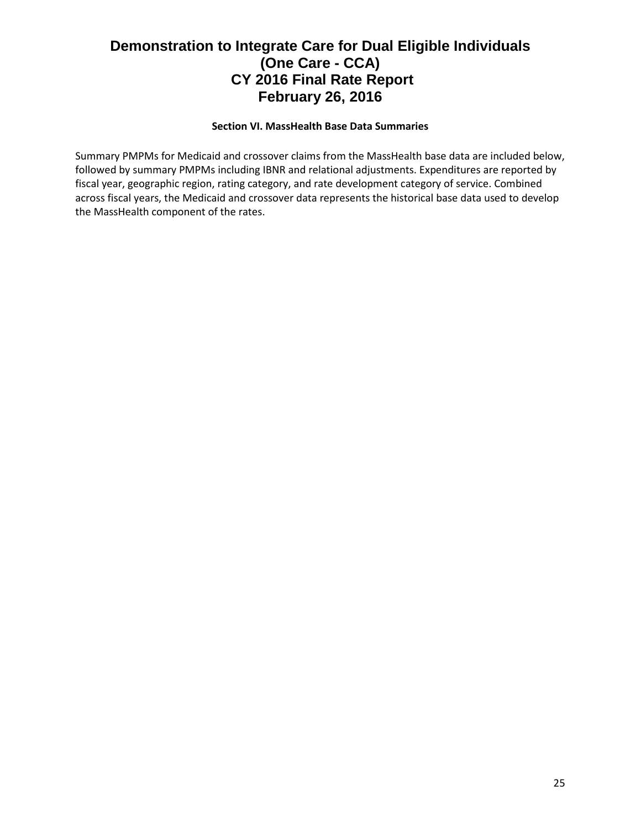### **Section VI. MassHealth Base Data Summaries**

Summary PMPMs for Medicaid and crossover claims from the MassHealth base data are included below, followed by summary PMPMs including IBNR and relational adjustments. Expenditures are reported by fiscal year, geographic region, rating category, and rate development category of service. Combined across fiscal years, the Medicaid and crossover data represents the historical base data used to develop the MassHealth component of the rates.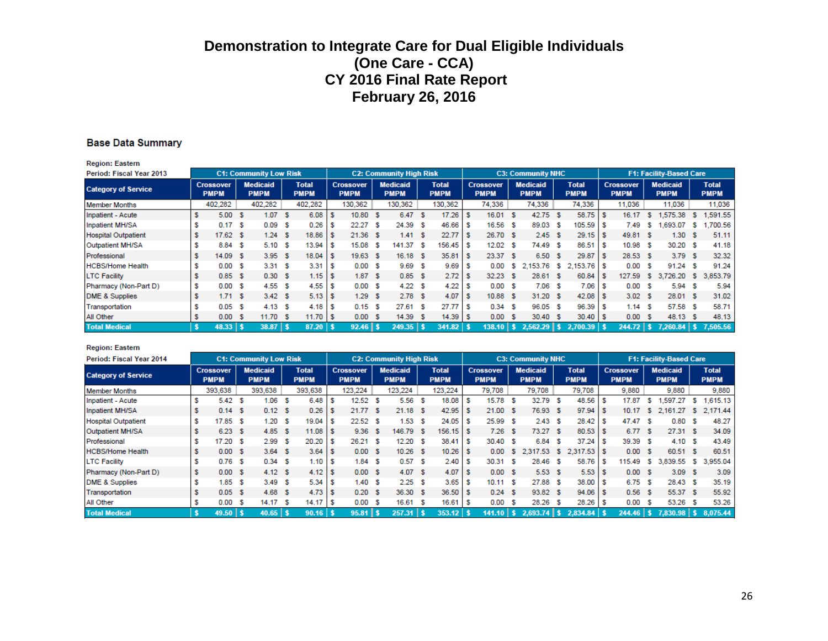#### **Base Data Summary**

**Region: Eastern** 

| Period: Fiscal Year 2013   |                                 |    | <b>C1: Community Low Risk</b>  |     |                             |     |                                 | <b>C2: Community High Risk</b> |                             |   |                                 |      | <b>C3: Community NHC</b>       |      |                             |                                 |     | <b>F1: Facility-Based Care</b> |     |                             |
|----------------------------|---------------------------------|----|--------------------------------|-----|-----------------------------|-----|---------------------------------|--------------------------------|-----------------------------|---|---------------------------------|------|--------------------------------|------|-----------------------------|---------------------------------|-----|--------------------------------|-----|-----------------------------|
| <b>Category of Service</b> | <b>Crossover</b><br><b>PMPM</b> |    | <b>Medicaid</b><br><b>PMPM</b> |     | <b>Total</b><br><b>PMPM</b> |     | <b>Crossover</b><br><b>PMPM</b> | <b>Medicaid</b><br><b>PMPM</b> | <b>Total</b><br><b>PMPM</b> |   | <b>Crossover</b><br><b>PMPM</b> |      | <b>Medicaid</b><br><b>PMPM</b> |      | <b>Total</b><br><b>PMPM</b> | <b>Crossover</b><br><b>PMPM</b> |     | <b>Medicaid</b><br><b>PMPM</b> |     | <b>Total</b><br><b>PMPM</b> |
| <b>Member Months</b>       | 402,282                         |    | 402,282                        |     | 402,282                     |     | 130,362                         | 130,362                        | 130,362                     |   | 74,336                          |      | 74,336                         |      | 74,336                      | 11,036                          |     | 11,036                         |     | 11,036                      |
| Inpatient - Acute          | 5.00                            | -S | 1.07                           | -S  | 6.08                        |     | 10.80 S                         | 6.47 S                         | 17.26                       |   | 16.01                           | - \$ | 42.75                          | - \$ | $58.75$ \$                  | 16.17                           | s   | 1,575.38                       | s   | 1.591.55                    |
| Inpatient MH/SA            | 0.17                            | -S | 0.09                           | -S  | 0.26                        |     | 22.27S                          | 24.39S                         | 46.66                       |   | 16.56                           | -S   | 89.03                          | -S   | 105.59 \$                   | 7.49                            | s   | .693.07                        | s   | .700.56                     |
| <b>Hospital Outpatient</b> | $17.62$ \$                      |    | 1.24                           | -S  | 18.86                       |     | $21.36$ \$                      | 1.41 S                         | 22.77                       |   | 26.70 \$                        |      | 2.45S                          |      | $29.15$ \$                  | 49.81 S                         |     | 1.30                           |     | 51.11                       |
| Outpatient MH/SA           | 8.84 \$                         |    | 5.10                           | - S | 13.94                       |     | 15.08 \$                        | 141.37 \$                      | 156.45                      |   | $12.02-5$                       |      | 74.49                          | - 5  | $86.51$ \$                  | 10.98 S                         |     | 30.20 \$                       |     | 41.18                       |
| Professional               | 14.09                           | -S | 3.95S                          |     | 18.04                       | - 5 | 19.63 S                         | $16.18$ \$                     | 35.81                       | s | 23.37 \$                        |      | 6.50 \$                        |      | $29.87$ \$                  | 28.53 S                         |     | 3.79S                          |     | 32.32                       |
| <b>HCBS/Home Health</b>    | 0.00                            | S  | 3.31 S                         |     | 3.31                        |     | 0.00 S                          | 9.69 <sup>5</sup>              | 9.69                        |   | 0.00                            | s    | 2,153.76 \$                    |      | 2,153.76 \$                 | 0.00                            | - S | 91.24                          | -S  | 91.24                       |
| <b>LTC Facility</b>        | 0.85                            | S  | 0.30 S                         |     | 1.15                        |     | 1.87S                           | 0.85S                          | 2.72                        |   | 32.23                           | -S   | 28.61 \$                       |      | 60.84 \$                    | 127.59                          | -S  | 3.726.20                       | -S. | 3,853.79                    |
| Pharmacy (Non-Part D)      | 0.00                            | -S | 4.55S                          |     | 4.55                        | s   | 0.00 S                          | 4.22S                          | 4.22                        |   | 0.00                            | - 5  | $7.06-5$                       |      | $7.06$ \$                   | 0.00 S                          |     | 5.94                           | -S  | 5.94                        |
| <b>DME &amp; Supplies</b>  | 1.71S                           |    | 3.42 S                         |     |                             |     | 1.29S                           | 2.78S                          | 4.07                        |   | 10.88 S                         |      | 31.20 \$                       |      | $42.08$ \$                  | 3.02 S                          |     | 28.01 \$                       |     | 31.02                       |
| Transportation             | 0.05                            | S  | 4.13 S                         |     | 4.18                        |     | 0.15S                           | 27.61 S                        | 27.77                       |   | 0.34                            | -S   | 96.05 \$                       |      | 96.39 \$                    | 1.14 S                          |     | 57.58 \$                       |     | 58.71                       |
| All Other                  | 0.00                            | -S | 11.70 S                        |     | $11.70$ S                   |     | 0.00 S                          | 14.39 S                        | 14.39                       |   | 0.00                            | - S  | 30.40 \$                       |      | $30.40$ \$                  | 0.00 S                          |     | 48.13 \$                       |     | 48.13                       |
| <b>Total Medical</b>       | $48.33$   \$                    |    | $38.87$   \$                   |     | 87.20                       |     | $92.46$   \$                    | $249.35$   \$                  | $341.82$ \$                 |   | $138.10$   \$                   |      | $2,562.29$ \$                  |      | 2.700.39                    | $244.72$   \$                   |     | $7,260.84$   \$                |     | 7,505.56                    |

#### **Region: Eastern**

| Period: Fiscal Year 2014   |                                 |    | <b>C1: Community Low Risk</b>  |     |                             |    |                                 | <b>C2: Community High Risk</b> |    |                             |   |                                 |      | <b>C3: Community NHC</b>       |     |                             |    |                                 |    | <b>F1: Facility-Based Care</b> |    |                             |
|----------------------------|---------------------------------|----|--------------------------------|-----|-----------------------------|----|---------------------------------|--------------------------------|----|-----------------------------|---|---------------------------------|------|--------------------------------|-----|-----------------------------|----|---------------------------------|----|--------------------------------|----|-----------------------------|
| <b>Category of Service</b> | <b>Crossover</b><br><b>PMPM</b> |    | <b>Medicaid</b><br><b>PMPM</b> |     | <b>Total</b><br><b>PMPM</b> |    | <b>Crossover</b><br><b>PMPM</b> | <b>Medicaid</b><br><b>PMPM</b> |    | <b>Total</b><br><b>PMPM</b> |   | <b>Crossover</b><br><b>PMPM</b> |      | <b>Medicaid</b><br><b>PMPM</b> |     | <b>Total</b><br><b>PMPM</b> |    | <b>Crossover</b><br><b>PMPM</b> |    | <b>Medicaid</b><br><b>PMPM</b> |    | <b>Total</b><br><b>PMPM</b> |
| <b>Member Months</b>       | 393,638                         |    | 393,638                        |     | 393,638                     |    | 123,224                         | 123,224                        |    | 123,224                     |   | 79,708                          |      | 79,708                         |     | 79,708                      |    | 9,880                           |    | 9,880                          |    | 9,880                       |
| Inpatient - Acute          | 5.42                            | S  | 1.06                           | s   | 6.48                        |    | 12.52 S                         | 5.56                           | S  | 18.08                       |   | 15.78                           | s    | 32.79                          | - 5 | 48.56                       |    | 17.87                           | s. | .597.27                        | s  | 1,615.13                    |
| Inpatient MH/SA            | 0.14S                           |    | 0.12 S                         |     | 0.26                        | S  | 21.77 \$                        | $21.18$ \$                     |    | 42.95                       | s | 21.00                           | - \$ | 76.93 \$                       |     | $97.94$ \$                  |    | 10.17                           | s. | 2,161.27                       |    | \$ 2,171.44                 |
| <b>Hospital Outpatient</b> | 17.85                           | s  | 1.20                           | -S  | 19.04                       |    | 22.52S                          | 1.53                           | -S | 24.05                       |   | 25.99                           | -S   | 2.43S                          |     | 28.42                       | -S | 47.47 S                         |    | 0.80                           | -S | 48.27                       |
| Outpatient MH/SA           | 6.23 <sup>5</sup>               |    | 4.85                           | - S | 11.08                       |    | 9.36 <sup>5</sup>               | 146.79 \$                      |    | 156.15                      |   | 7.26                            | - S  | 73.27                          | - S | 80.53 \$                    |    | 6.77 S                          |    | 27.31 S                        |    | 34.09                       |
| Professional               | 17.20                           | S  | 2.99                           | -S  | 20.20                       |    | 26.21 S                         | $12.20$ \$                     |    | 38.41                       |   | 30.40 \$                        |      | 6.84                           | S   | 37.24                       | -S | 39.39 \$                        |    | 4.10 S                         |    | 43.49                       |
| <b>HCBS/Home Health</b>    | 0.00 S                          |    | 3.64 S                         |     | 3.64                        | ١s | 0.00 S                          | $10.26$ \$                     |    | 10.26                       |   | 0.00                            | s.   | 2.317.53                       | -S  | $2.317.53$ \$               |    | 0.00 S                          |    | 60.51 S                        |    | 60.51                       |
| <b>LTC Facility</b>        | 0.76                            | S  | 0.34 S                         |     | 1.10                        | s  | 1.84S                           | $0.57$ \$                      |    | 2.40                        | s | 30.31                           | s    | 28.46                          | -S  | 58.76                       | -S | 115.49                          | s. | 3.839.<br>.55                  | s  | 3,955.04                    |
| Pharmacy (Non-Part D)      | 0.00                            | -S | 4.12 S                         |     | 4.12                        |    | 0.00 S                          | 4.07 S                         |    | 4.07                        |   | 0.00 S                          |      | 5.53S                          |     | $5.53$ \$                   |    | 0.00 S                          |    | 3.09S                          |    | 3.09                        |
| <b>DME &amp; Supplies</b>  | 1.85                            | S  | 3.49                           | - S | 5.34                        |    | 1.40S                           | $2.25$ \$                      |    | 3.65                        |   | 10.11 S                         |      | 27.88 \$                       |     | $38.00$ \ \$                |    | 6.75 S                          |    | 28.43 \$                       |    | 35.19                       |
| Transportation             | 0.05                            | -S | 4.68                           | -S  | 4.73                        | -S | 0.20 S                          | 36.30 \$                       |    | 36.50                       |   | 0.24                            | -S   | 93.82 \$                       |     | 94.06 \$                    |    | 0.56S                           |    | 55.37 \$                       |    | 55.92                       |
| <b>All Other</b>           | 0.00                            | S  | 14.17                          | -S  | 14.17                       | s  | 0.00 S                          | 16.61                          | S  | 16.61                       |   | 0.00                            | S    | 28.26                          | -S  | 28.26                       | -S | 0.00                            | -S | 53.26                          | -S | 53.26                       |
| <b>Total Medical</b>       | $49.50$   \$                    |    | $40.65$   \$                   |     | $90.16$ \$                  |    | $95.81$   \$                    | $257.31$   \$                  |    | $353.12$ \$                 |   | $141.10$   \$                   |      | $2.693.74$   \$                |     | $2.834.84$ \$               |    | $244.46$   \$                   |    | $7,830.98$   \$                |    | 8.075.44                    |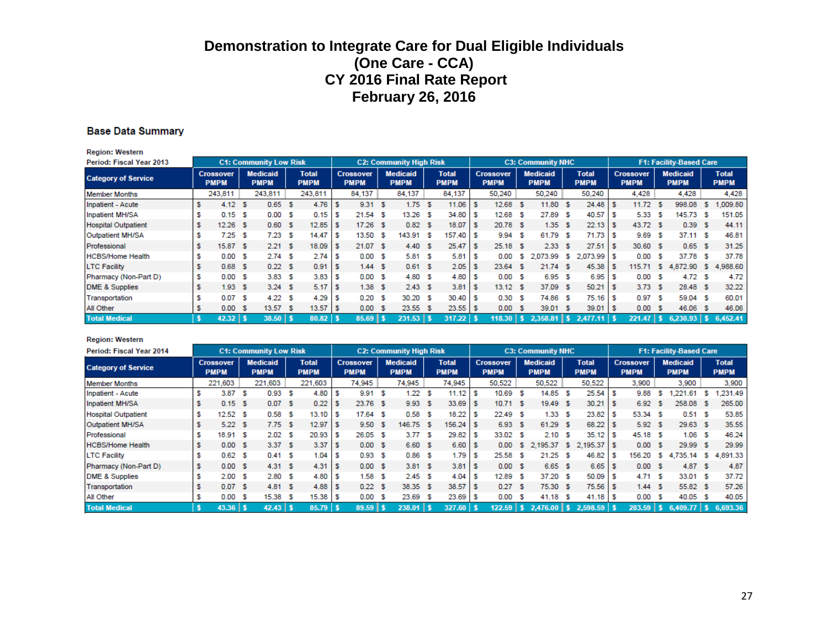#### **Base Data Summary**

| <b>Region: Western</b>     |                                 |      |                                |    |                             |              |                                 |                                |                             |   |                                 |      |                                |          |                             |      |                                 |     |                                |    |                             |
|----------------------------|---------------------------------|------|--------------------------------|----|-----------------------------|--------------|---------------------------------|--------------------------------|-----------------------------|---|---------------------------------|------|--------------------------------|----------|-----------------------------|------|---------------------------------|-----|--------------------------------|----|-----------------------------|
| Period: Fiscal Year 2013   |                                 |      | <b>C1: Community Low Risk</b>  |    |                             |              |                                 | <b>C2: Community High Risk</b> |                             |   |                                 |      | <b>C3: Community NHC</b>       |          |                             |      |                                 |     | <b>F1: Facility-Based Care</b> |    |                             |
| <b>Category of Service</b> | <b>Crossover</b><br><b>PMPM</b> |      | <b>Medicaid</b><br><b>PMPM</b> |    | <b>Total</b><br><b>PMPM</b> |              | <b>Crossover</b><br><b>PMPM</b> | <b>Medicaid</b><br><b>PMPM</b> | <b>Total</b><br><b>PMPM</b> |   | <b>Crossover</b><br><b>PMPM</b> |      | <b>Medicaid</b><br><b>PMPM</b> |          | <b>Total</b><br><b>PMPM</b> |      | <b>Crossover</b><br><b>PMPM</b> |     | <b>Medicaid</b><br><b>PMPM</b> |    | <b>Total</b><br><b>PMPM</b> |
| <b>Member Months</b>       | 243,811                         |      | 243,811                        |    | 243,811                     |              | 84,137                          | 84,137                         | 84,137                      |   | 50.240                          |      | 50,240                         |          | 50,240                      |      | 4.428                           |     | 4.428                          |    | 4,428                       |
| Inpatient - Acute          | 4.12 <sup>5</sup>               |      | 0.65                           | -S | 4.76                        |              | 9.31 S                          | 1.75S                          | 11.06                       |   | 12.68                           | - S  | 11.80 \$                       |          | 24.48                       | - 35 | 11.72                           | -S  | 998.08                         | s  | .009.80                     |
| Inpatient MH/SA            | $0.15-5$                        |      | 0.00                           | -S | 0.15                        |              | $21.54$ \$                      | $13.26$ \$                     | 34.80                       | s | 12.68                           | - 35 | 27.89                          | - S      | 40.57                       | -S   | 5.33S                           |     | 145.73                         | s  | 151.05                      |
| <b>Hospital Outpatient</b> | $12.26$ \$                      |      | 0.60                           | -S | 12.85                       |              | $17.26$ \$                      | $0.82-5$                       | 18.07                       |   | 20.78 \$                        |      | 1.35S                          |          | 22.13                       | - 5  | 43.72 \$                        |     | 0.39                           | s  | 44.11                       |
| Outpatient MH/SA           | 7.25                            | S    | 7.23                           | -S | 14.47                       |              | 13.50 \$                        | 143.91 \$                      | 157.40                      |   | 9.94                            | - 5  | 61.79                          | - S      | 71.73                       | -S   | 9.69                            | - S | 37.11 S                        |    | 46.81                       |
| Professional               | 15.87 \$                        |      | 2.21 S                         |    | 18.09                       |              | 21.07 \$                        | 4.40 S                         | 25.47                       |   | $25.18$ \$                      |      | 2.33S                          |          | 27.51                       | - 3  | 30.60 \$                        |     | 0.65S                          |    | 31.25                       |
| <b>HCBS/Home Health</b>    | 0.00                            | - 35 | 2.74S                          |    | 2.74                        |              | 0.00 S                          | 5.81S                          | 5.81                        |   | 0.00                            | -S   | 2,073.99                       | <b>S</b> | $2,073.99$ \$               |      | 0.00 S                          |     | 37.78                          | -S | 37.78                       |
| <b>LTC Facility</b>        | 0.68 <sub>5</sub>               |      | 0.22 S                         |    | 0.91                        |              | 1.44S                           | 0.61 S                         | 2.05                        |   | 23.64                           | - 5  | 21.74 \$                       |          | 45.38                       | -S   | 115.71                          | -S. | 4,872.90 \$                    |    | 4,988.60                    |
| Pharmacy (Non-Part D)      | 0.00                            | - 5  | 3.83S                          |    | 3.83                        |              | 0.00 S                          | 4.80 \$                        | 4.80                        |   | 0.00 S                          |      | 6.95 <sup>5</sup>              |          | 6.95                        | -S   | 0.00 S                          |     | 4.72                           | -S | 4.72                        |
| <b>DME &amp; Supplies</b>  | 1.93 <sub>5</sub>               |      | 3.24S                          |    | 5.17                        |              | 1.38S                           | 2.43 <sup>5</sup>              | 3.81                        |   | $13.12$ \$                      |      | 37.09                          | - \$     | 50.21                       | - 5  | 3.73S                           |     | 28.48 \$                       |    | 32.22                       |
| Transportation             | 0.07 S                          |      | 4.22 S                         |    | 4.29                        |              | $0.20-5$                        | 30.20 S                        | 30.40                       |   | 0.30                            | -S   | 74.86 \$                       |          | 75.16                       | S    | 0.97 S                          |     | 59.04 \$                       |    | 60.01                       |
| All Other                  | 0.00                            | - S  | 13.57                          | -S | 13.57                       | $\mathsf{I}$ | 0.00 S                          | 23.55 \$                       | 23.55                       |   | 0.00                            | - S  | 39.01 \$                       |          | $39.01$ \$                  |      | 0.00 S                          |     | 46.06                          | s  | 46.06                       |
| <b>Total Medical</b>       | $42.32$   \$                    |      | $38.50$   \$                   |    | $80.82$ \$                  |              | $85.69$   \$                    | $231.53$   \$                  | $317.22$   \$               |   | $118.30$   \$                   |      | $2.358.81$   \$                |          |                             |      | $221.47$   \$                   |     | $6.230.93$   \$                |    | 6.452.41                    |

#### **Region: Western**

| Period: Fiscal Year 2014   |   |                                 |      | <b>C1: Community Low Risk</b>  |    |                             |     |                                 | <b>C2: Community High Risk</b> |                             |    |                                 |      | <b>C3: Community NHC</b>       |     |                             |                                 |    | <b>F1: Facility-Based Care</b> |     |                             |
|----------------------------|---|---------------------------------|------|--------------------------------|----|-----------------------------|-----|---------------------------------|--------------------------------|-----------------------------|----|---------------------------------|------|--------------------------------|-----|-----------------------------|---------------------------------|----|--------------------------------|-----|-----------------------------|
| <b>Category of Service</b> |   | <b>Crossover</b><br><b>PMPM</b> |      | <b>Medicaid</b><br><b>PMPM</b> |    | <b>Total</b><br><b>PMPM</b> |     | <b>Crossover</b><br><b>PMPM</b> | <b>Medicaid</b><br><b>PMPM</b> | <b>Total</b><br><b>PMPM</b> |    | <b>Crossover</b><br><b>PMPM</b> |      | <b>Medicaid</b><br><b>PMPM</b> |     | <b>Total</b><br><b>PMPM</b> | <b>Crossover</b><br><b>PMPM</b> |    | <b>Medicaid</b><br><b>PMPM</b> |     | <b>Total</b><br><b>PMPM</b> |
| <b>Member Months</b>       |   | 221.603                         |      | 221.603                        |    | 221,603                     |     | 74.945                          | 74,945                         | 74,945                      |    | 50.522                          |      | 50.522                         |     | 50,522                      | 3.900                           |    | 3.900                          |     | 3,900                       |
| Inpatient - Acute          |   | 3.87                            | -S   | 0.93                           | s  | 4.80                        | S   | 9.91 S                          | 1.22S                          | 11.12                       |    | 10.69                           | S    | 14.85                          | -S  | 25.54                       | 9.88                            | s. | .221.61                        | -S. | .231.49                     |
| Inpatient MH/SA            |   | 0.15S                           |      | 0.07                           | -S | 0.22                        | -S  | 23.76 \$                        | 9.93 S                         | 33.69                       | s  | 10.71 S                         |      | 19.49 \$                       |     | 30.21                       | 6.92                            | -S | 258.08                         | -S  | 265.00                      |
| <b>Hospital Outpatient</b> |   | 12.52                           | S    | 0.58                           | -S | 13.10                       | s   | $17.64$ \$                      | 0.58 <sub>5</sub>              | 18.22                       |    | 22.49                           | -S   | 1.33                           | -S  | 23.82                       | 53.34 S                         |    | 0.51 S                         |     | 53.85                       |
| Outpatient MH/SA           |   | 5.22S                           |      | 7.75S                          |    | 12.97                       |     | 9.50 S                          | 146.75 \$                      | 156.24                      |    | 6.93                            | - \$ | 61.29                          | - S |                             | 5.92 S                          |    | 29.63 \$                       |     | 35.55                       |
| Professional               |   | 18.91                           | -S   | 2.02                           | -S | 20.93                       | -S  | 26.05S                          | 3.77S                          | 29.82                       | s  | 33.02 \$                        |      | 2.10                           | S   | 35.12                       | 45.18 \$                        |    | 1.06 S                         |     | 46.24                       |
| <b>HCBS/Home Health</b>    |   | 0.00 S                          |      | 3.37 S                         |    | 3.37                        | - 5 | 0.00 S                          | 6.60 \$                        | 6.60                        | -S | 0.00                            | -S   |                                |     | 2,195.37 \$ 2,195.37 \$     | 0.00 S                          |    | 29.99 S                        |     | 29.99                       |
| <b>LTC Facility</b>        |   | 0.62                            | S    | 0.41 S                         |    | 1.04                        |     | 0.93S                           | $0.86-5$                       | 1.79                        |    | 25.58                           | s    | 21.25                          | s   | 46.82                       | 156.20                          | s. | 4.735.14                       | -S. | 4.891.33                    |
| Pharmacy (Non-Part D)      | s | 0.00                            | - 53 | 4.31 S                         |    | 4.31                        | - 5 | 0.00 S                          | 3.81 S                         | 3.81                        | -S | 0.00 S                          |      | 6.65S                          |     |                             | 0.00 S                          |    | 4.87S                          |     | 4.87                        |
| DME & Supplies             |   | 2.00                            | S    | 2.80                           | -S | 4.80                        | - 5 | 1.58S                           | 2.45S                          | 4.04                        | s  | 12.89                           | s    | 37.20                          | S   | $50.09$ \$                  | 4.71 S                          |    | 33.01 S                        |     | 37.72                       |
| Transportation             |   | 0.07 S                          |      | 4.81 S                         |    | 4.88                        |     | 0.22S                           | 38.35 \$                       | 38.57                       |    | 0.27                            | -S   | 75.30 \$                       |     | $75.56$ \$                  | 1.44 S                          |    | 55.82 \$                       |     | 57.26                       |
| All Other                  |   | 0.00                            | S    | 15.38                          | -S | 15.38                       | -S  | 0.00 S                          | 23.69 \$                       | 23.69                       |    | 0.00                            | S    | 41.18                          | -S  |                             | 0.00 S                          |    | 40.05 \$                       |     | 40.05                       |
| <b>Total Medical</b>       |   | $43.36$   \$                    |      | $42.43$   \$                   |    | 85.79                       |     | $89.59$   \$                    | 238.01                         | 327.60                      |    |                                 |      | $122.59$   \$ 2.476.00   \$    |     | $2,598.59$ \$               |                                 |    | $283.59$ \$ 6,409.77 \$        |     | 6,693.36                    |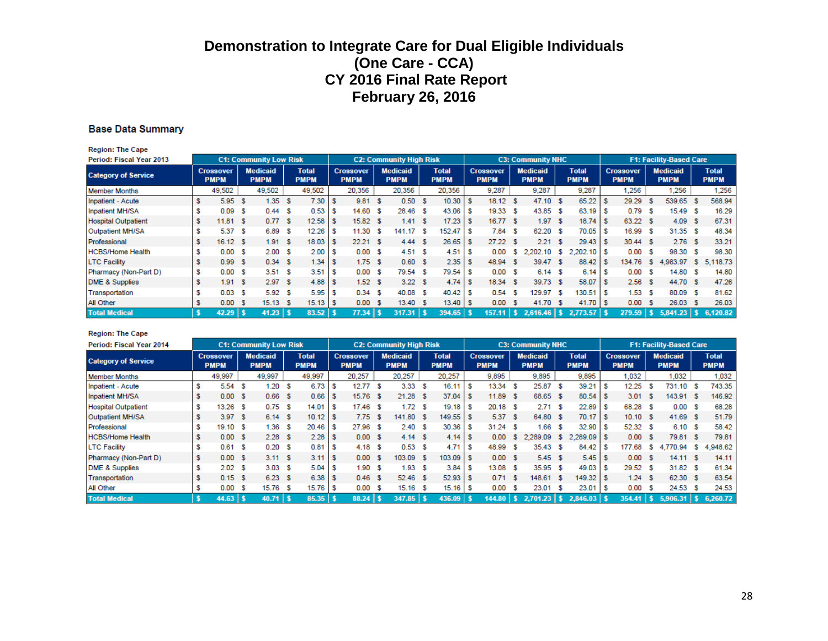#### **Base Data Summary**

| <b>Region: The Cape</b>    |    |                                 |      |                                |    |                             |     |                                 |     |                                |      |                             |   |                                 |      |                                |      |                             |     |                                 |     |                                |     |                             |
|----------------------------|----|---------------------------------|------|--------------------------------|----|-----------------------------|-----|---------------------------------|-----|--------------------------------|------|-----------------------------|---|---------------------------------|------|--------------------------------|------|-----------------------------|-----|---------------------------------|-----|--------------------------------|-----|-----------------------------|
| Period: Fiscal Year 2013   |    |                                 |      | <b>C1: Community Low Risk</b>  |    |                             |     |                                 |     | <b>C2: Community High Risk</b> |      |                             |   |                                 |      | <b>C3: Community NHC</b>       |      |                             |     |                                 |     | <b>F1: Facility-Based Care</b> |     |                             |
| <b>Category of Service</b> |    | <b>Crossover</b><br><b>PMPM</b> |      | <b>Medicaid</b><br><b>PMPM</b> |    | <b>Total</b><br><b>PMPM</b> |     | <b>Crossover</b><br><b>PMPM</b> |     | <b>Medicaid</b><br><b>PMPM</b> |      | <b>Total</b><br><b>PMPM</b> |   | <b>Crossover</b><br><b>PMPM</b> |      | <b>Medicaid</b><br><b>PMPM</b> |      | <b>Total</b><br><b>PMPM</b> |     | <b>Crossover</b><br><b>PMPM</b> |     | <b>Medicaid</b><br><b>PMPM</b> |     | <b>Total</b><br><b>PMPM</b> |
| <b>Member Months</b>       |    | 49,502                          |      | 49,502                         |    | 49,502                      |     | 20,356                          |     | 20,356                         |      | 20,356                      |   | 9,287                           |      | 9,287                          |      | 9,287                       |     | 1.256                           |     | 1.256                          |     | 1,256                       |
| Inpatient - Acute          | \$ | 5.95                            | - 5  | 1.35                           | s  | 7.30                        |     | 9.81                            | - S | 0.50 S                         |      | 10.30                       |   | 18.12                           | s    | 47.10                          | - 56 | 65.22                       |     | 29.29                           | -5  | 539.65                         |     | 568.94                      |
| Inpatient MH/SA            | s  | 0.09                            | S    | 0.44                           | s  | 0.53                        | S   | 14.60 \$                        |     | 28.46 \$                       |      | 43.06                       |   | 19.33                           | S    | 43.85                          | -S   | 63.19                       |     | 0.79                            | -S  | 15.49 S                        |     | 16.29                       |
| <b>Hospital Outpatient</b> | s  | 11.81 S                         |      | 0.77 S                         |    | 12.58                       | s   | 15.82S                          |     | 1.41 S                         |      | 17.23                       |   | 16.77S                          |      | 1.97                           | -S   | 18.74                       |     | 63.22 \$                        |     | 4.09 S                         |     | 67.31                       |
| Outpatient MH/SA           | s  | 5.37S                           |      | 6.89                           | s  | 12.26                       | s   | 11.30 S                         |     | 141.17                         | - \$ | 152.47                      | s | 7.84                            | S    | 62.20                          | -S   | 70.05                       | S   | 16.99 S                         |     | 31.35 S                        |     | 48.34                       |
| Professional               | s  | 16.12 S                         |      | 1.91                           | -S | 18.03                       | s   | 22.21 S                         |     | 4.44 S                         |      | 26.65                       | s | 27.22                           | -S   | 2.21                           | -S   | 29.43                       | - 5 | 30.44 S                         |     | 2.76S                          |     | 33.21                       |
| <b>HCBS/Home Health</b>    | s  | 0.00 S                          |      | 2.00                           | s  | 2.00                        | s   | 0.00 S                          |     | 4.51 S                         |      | 4.51                        |   | 0.00                            | s    | 2,202.10                       | s.   | $2,202.10$ \$               |     | 0.00                            | -S  | 98.30 S                        |     | 98.30                       |
| <b>LTC Facility</b>        | s  | 0.99S                           |      | 0.34 S                         |    | 1.34                        | s   | 1.75S                           |     | 0.60 S                         |      | 2.35                        |   | 48.94                           | s    | 39.47                          | -S   | 88.42                       |     | 134.76                          | -S  | 4,983.97                       | -S. | 5.118.73                    |
| Pharmacy (Non-Part D)      | \$ | 0.00S                           |      | 3.51 S                         |    | 3.51                        | s   | 0.00 S                          |     | 79.54 \$                       |      | 79.54                       |   | 0.00                            | s    | 6.14                           | - S  | 6.14                        |     | 0.00                            | -S  | 14.80                          |     | 14.80                       |
| DME & Supplies             | s  | 1.91 S                          |      | 2.97 S                         |    | 4.88                        | S   | 1.52 <sup>5</sup>               |     | 3.22S                          |      | 4.74                        |   | 18.34                           | - \$ | 39.73                          | - S  | 58.07                       |     | 2.56S                           |     | 44.70 \$                       |     | 47.26                       |
| Transportation             | s  | 0.03 <sub>5</sub>               |      | 5.92                           | s  | 5.95                        | s   | 0.34                            | - 5 | 40.08 \$                       |      | 40.42                       |   | 0.54                            | S    | 129.97                         | s    | 130.51                      |     | 1.53S                           |     | 80.09 S                        |     | 81.62                       |
| All Other                  | \$ | 0.00                            | - \$ | 15.13                          | -S | 15.13                       | ΙSΙ | 0.00 S                          |     | 13.40 S                        |      | 13.40                       |   | 0.00                            | s    | 41.70                          | - 56 | 41.70                       |     | 0.00 S                          |     | 26.03                          |     | 26.03                       |
| <b>Total Medical</b>       |    | 42.29                           |      | $41.23$   \$                   |    | $83.52$ \$                  |     | 77.34 S                         |     | 317.31                         | ∣s   | 394.65                      |   | 157.11 S                        |      | $2.616.46$   \$                |      | $2.773.57$ \$               |     | 279.59                          | 457 | 5.841.23                       |     | 6,120.82                    |

#### **Region: The Cape**

| Period: Fiscal Year 2014   |                                 |     | <b>C1: Community Low Risk</b>  |     |                             |    |                                 | <b>C2: Community High Risk</b> |                             |    |                                 |      | <b>C3: Community NHC</b>       |     |                             |    |                                 |     | <b>F1: Facility-Based Care</b> |    |                             |
|----------------------------|---------------------------------|-----|--------------------------------|-----|-----------------------------|----|---------------------------------|--------------------------------|-----------------------------|----|---------------------------------|------|--------------------------------|-----|-----------------------------|----|---------------------------------|-----|--------------------------------|----|-----------------------------|
| <b>Category of Service</b> | <b>Crossover</b><br><b>PMPM</b> |     | <b>Medicaid</b><br><b>PMPM</b> |     | <b>Total</b><br><b>PMPM</b> |    | <b>Crossover</b><br><b>PMPM</b> | <b>Medicaid</b><br><b>PMPM</b> | <b>Total</b><br><b>PMPM</b> |    | <b>Crossover</b><br><b>PMPM</b> |      | <b>Medicaid</b><br><b>PMPM</b> |     | <b>Total</b><br><b>PMPM</b> |    | <b>Crossover</b><br><b>PMPM</b> |     | <b>Medicaid</b><br><b>PMPM</b> |    | <b>Total</b><br><b>PMPM</b> |
| <b>Member Months</b>       | 49,997                          |     | 49,997                         |     | 49,997                      |    | 20,257                          | 20.257                         | 20,257                      |    | 9.895                           |      | 9,895                          |     | 9,895                       |    | 1,032                           |     | 1,032                          |    | 1,032                       |
| Inpatient - Acute          | 5.54                            | -S  | 1.20                           | -S  | 6.73                        |    | 12.77S                          | 3.33 <sup>5</sup>              | 16.11                       |    | 13.34                           | - 5  | 25.87                          | - S | 39.21                       |    | 12.25                           | s   | 731.10                         |    | 743.35                      |
| Inpatient MH/SA            | 0.00                            | -S  | 0.66                           | - S | 0.66                        | s  | $15.76$ \$                      | $21.28$ \$                     | 37.04                       | s  | 11.89                           | - \$ | 68.65 \$                       |     |                             |    | 3.01                            | -S  | 143.91 S                       |    | 146.92                      |
| <b>Hospital Outpatient</b> | 13.26                           | S   | 0.75                           | -S  | 14.01                       |    | $17.46$ \$                      | 1.72S                          | 19.18                       | s  | $20.18$ \$                      |      | 2.71                           | - S | 22.89                       | -S | 68.28 \$                        |     | 0.00                           | -S | 68.28                       |
| Outpatient MH/SA           | 3.97                            | -S  | 6.14 S                         |     | 10.12                       |    | 7.75S                           | 141.80 \$                      | 149.55                      |    | 5.37                            | - S  | 64.80 \$                       |     | $70.17$ \$                  |    | 10.10 S                         |     | 41.69 S                        |    | 51.79                       |
| Professional               | 19.10                           | S   | 1.36                           | -S  | 20.46                       |    | 27.96 \$                        | 2.40 S                         | 30.36                       | s  | 31.24                           | - S  | 1.66                           | -S  | $32.90$ \$                  |    | 52.32 \$                        |     | 6.10S                          |    | 58.42                       |
| <b>HCBS/Home Health</b>    | 0.00                            | -S  | 2.28S                          |     | 2.28                        |    | 0.00 S                          | 4.14S                          | 4.14                        | s  | 0.00                            | s.   | 2.289.09                       | -S  | $2.289.09$ \$               |    | 0.00                            | - S | 79.81 S                        |    | 79.81                       |
| <b>LTC Facility</b>        | 0.61                            | S   | 0.20                           | - S | 0.81                        |    | 4.18 <sup>5</sup>               | 0.53 <sup>5</sup>              | 4.71                        | s  | 48.99                           | -S   | 35.43 \$                       |     | 84.42                       |    | 177.68                          | s   | 4.770.94                       | s  | 4,948.62                    |
| Pharmacy (Non-Part D)      | 0.00                            | - 5 | 3.11 S                         |     | 3.11                        | ΙS | 0.00 S                          | 103.09 \$                      | 103.09                      | s  | 0.00 S                          |      | 5.45S                          |     |                             |    | 0.00 S                          |     | 14.11 S                        |    | 14.11                       |
| <b>DME &amp; Supplies</b>  | 2.02                            | -S  | 3.03                           | -S  | 5.04                        |    | 1.90S                           | 1.93 <sub>5</sub>              | 3.84                        | s  | 13.08                           | -S   | 35.95                          | - 5 | 49.03                       | -S | 29.52 \$                        |     | 31.82 S                        |    | 61.34                       |
| Transportation             | 0.15                            | -S  | 6.23 S                         |     | 6.38                        |    | $0.46-5$                        | 52.46 \$                       | 52.93                       | -S | 0.71                            | -S   | 148.61                         | - S | $149.32$ \$                 |    | 1.24 S                          |     | 62.30 \$                       |    | 63.54                       |
| All Other                  | 0.00                            | S   | 15.76                          | - S | 15.76                       |    | 0.00 S                          | 15.16 \$                       | 15.16                       |    | 0.00                            | -S   | 23.01                          | - 5 | $23.01$ \$                  |    | 0.00                            | -S  | 24.53 \$                       |    | 24.53                       |
| <b>Total Medical</b>       | $44.63$   \$                    |     | $40.71$   \$                   |     | $85.35$ \$                  |    | $88.24$   \$                    | $347.85$   \$                  | $436.09$ \$                 |    | $144.80$   \$                   |      | $2,701.23$   \$                |     | 2,846.03                    |    | $354.41$   \$                   |     | $5,906,31$   \$                |    | 6,260.72                    |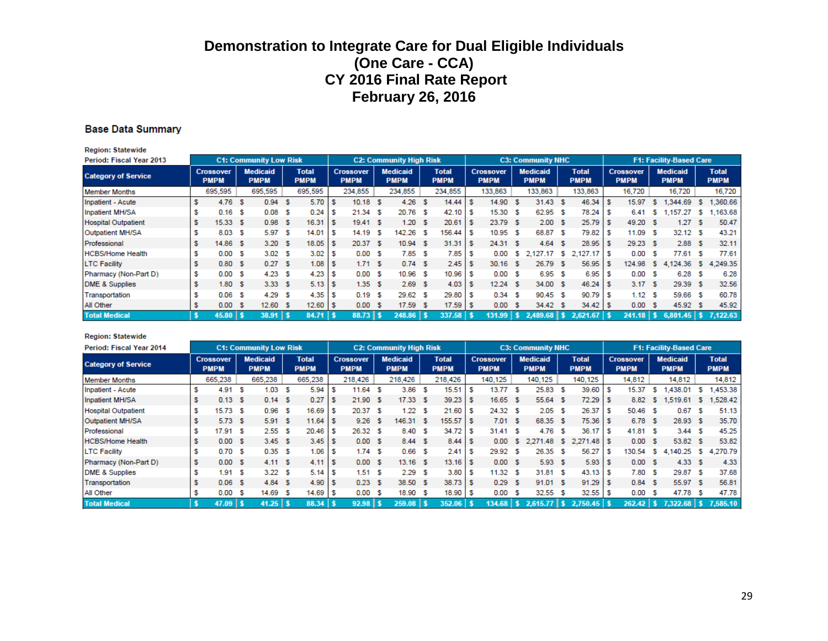#### **Base Data Summary**

**Region: Statewide** 

| <b>Period: Fiscal Year 2013</b> |   |                                 |     | <b>C1: Community Low Risk</b>  |     |                             |     |                                 | <b>C2: Community High Risk</b> |    |                             |     |                                 |      | <b>C3: Community NHC</b>       |     |                             |      |                                 |     | <b>F1: Facility-Based Care</b> |    |                             |
|---------------------------------|---|---------------------------------|-----|--------------------------------|-----|-----------------------------|-----|---------------------------------|--------------------------------|----|-----------------------------|-----|---------------------------------|------|--------------------------------|-----|-----------------------------|------|---------------------------------|-----|--------------------------------|----|-----------------------------|
| <b>Category of Service</b>      |   | <b>Crossover</b><br><b>PMPM</b> |     | <b>Medicaid</b><br><b>PMPM</b> |     | <b>Total</b><br><b>PMPM</b> |     | <b>Crossover</b><br><b>PMPM</b> | <b>Medicaid</b><br><b>PMPM</b> |    | <b>Total</b><br><b>PMPM</b> |     | <b>Crossover</b><br><b>PMPM</b> |      | <b>Medicaid</b><br><b>PMPM</b> |     | <b>Total</b><br><b>PMPM</b> |      | <b>Crossover</b><br><b>PMPM</b> |     | <b>Medicaid</b><br><b>PMPM</b> |    | <b>Total</b><br><b>PMPM</b> |
| <b>Member Months</b>            |   | 695,595                         |     | 695,595                        |     | 695,595                     |     | 234,855                         | 234,855                        |    | 234,855                     |     | 133,863                         |      | 133,863                        |     | 133,863                     |      | 16,720                          |     | 16,720                         |    | 16,720                      |
| Inpatient - Acute               |   | 4.76                            | -S  | 0.94                           | -S  | 5.70                        |     | $10.18$ \$                      | 4.26                           | -S | 14.44                       | s   | 14.90                           | - S  | $31.43$ \$                     |     | 46.34                       | S    | 15.97                           | s.  | 1.344.69                       | s  | ,360.66                     |
| <b>Inpatient MH/SA</b>          |   | 0.16                            | S   | 0.08                           | s   | 0.24                        | s   | $21.34$ \$                      | 20.76 \$                       |    | 42.10                       | s   | 15.30                           | -S   | 62.95 \$                       |     | 78.24                       | l S  | 6.41                            | -S  | 1.157.27                       | s. | ,163.68                     |
| <b>Hospital Outpatient</b>      |   | $15.33$ \$                      |     | 0.98                           | -S  | 16.31                       | s   | 19.41 S                         | 1.20 S                         |    | 20.61                       |     | 23.79 \$                        |      | 2.00 S                         |     | 25.79                       | - 5  | 49.20 S                         |     | 1.27                           | s  | 50.47                       |
| Outpatient MH/SA                |   | 8.03                            | S   | 5.97                           | -S  | 14.01                       |     | 14.19 S                         | 142.26 \$                      |    | 156.44                      | s   | 10.95                           | - \$ | 68.87 \$                       |     | 79.82                       | S    | 11.09 S                         |     | 32.12                          | -S | 43.21                       |
| Professional                    |   | 14.86 \$                        |     | 3.20 S                         |     | 18.05                       | s   | 20.37 \$                        | $10.94$ \$                     |    | 31.31                       | ∣\$ | 24.31 \$                        |      | 4.64                           | - S | 28.95                       | - S  | 29.23 \$                        |     | 2.88                           | -S | 32.11                       |
| <b>HCBS/Home Health</b>         |   | 0.00                            | S   | 3.02 S                         |     | 3.02                        |     | 0.00 S                          | 7.85S                          |    | 7.85                        |     | 0.00                            | s.   | 2,127.17 \$                    |     | $2,127.17$ \$               |      | 0.00                            | -S  | 77.61                          | s  | 77.61                       |
| <b>LTC Facility</b>             |   | 0.80 <sup>5</sup>               |     | 0.27 S                         |     | 1.08                        | - 5 | 1.71 S                          | 0.74S                          |    | 2.45                        | s   | $30.16$ \$                      |      | 26.79 \$                       |     | 56.95                       | -S   | 124.98                          | 'S. | 4,124.36                       | S. | 4,249.35                    |
| Pharmacy (Non-Part D)           | S | 0.00                            | -S  | 4.23                           | -S  | 4.23                        | s   | 0.00 S                          | 10.96 \$                       |    | 10.96                       | s   | 0.00                            | -S   | 6.95 \$                        |     | 6.95                        | -S   | 0.00                            | -S  | 6.28                           | s  | 6.28                        |
| <b>DME &amp; Supplies</b>       |   | 1.80S                           |     | 3.33S                          |     | $5.13$ \$                   |     | 1.35S                           | 2.69S                          |    | 4.03                        | s   | $12.24$ \$                      |      | 34.00 \$                       |     | 46.24                       | l S  | 3.17S                           |     | 29.39                          | -S | 32.56                       |
| Transportation                  |   | 0.06                            | S   | 4.29                           | -S  | 4.35                        | s   | 0.19S                           | 29.62 \$                       |    | 29.80                       |     | 0.34                            | - \$ | 90.45 \$                       |     | 90.79                       | - 5  | 1.12 S                          |     | 59.66                          | -S | 60.78                       |
| All Other                       |   | 0.00                            | - 5 | 12.60                          | - S | 12.60                       | ΙS  | 0.00 S                          | $17.59$ \$                     |    | 17.59                       | s   | 0.00                            | - 5  | 34.42 \$                       |     | 34.42                       | - 56 | 0.00                            | -S  | 45.92                          | -S | 45.92                       |
| <b>Total Medical</b>            |   | $45.80$   \$                    |     | $38.91$   \$                   |     | 84.71                       |     | $88.73$ $\frac{1}{5}$           | $248.86$   \$                  |    | $337.58$   \$               |     | $131.99$   \$                   |      |                                |     | 2.621.67                    |      | $241.18$   \$                   |     | $6,881.45$ \$ 7.122.63         |    |                             |

#### **Region: Statewide**

| Period: Fiscal Year 2014   |                                 |     | <b>C1: Community Low Risk</b>  |    |                             |                                 | <b>C2: Community High Risk</b> |                             |    |                                 |    | <b>C3: Community NHC</b>       |     |                             |     |                                 |     | <b>F1: Facility-Based Care</b> |    |                             |
|----------------------------|---------------------------------|-----|--------------------------------|----|-----------------------------|---------------------------------|--------------------------------|-----------------------------|----|---------------------------------|----|--------------------------------|-----|-----------------------------|-----|---------------------------------|-----|--------------------------------|----|-----------------------------|
| <b>Category of Service</b> | <b>Crossover</b><br><b>PMPM</b> |     | <b>Medicaid</b><br><b>PMPM</b> |    | <b>Total</b><br><b>PMPM</b> | <b>Crossover</b><br><b>PMPM</b> | <b>Medicaid</b><br><b>PMPM</b> | <b>Total</b><br><b>PMPM</b> |    | <b>Crossover</b><br><b>PMPM</b> |    | <b>Medicaid</b><br><b>PMPM</b> |     | <b>Total</b><br><b>PMPM</b> |     | <b>Crossover</b><br><b>PMPM</b> |     | <b>Medicaid</b><br><b>PMPM</b> |    | <b>Total</b><br><b>PMPM</b> |
| <b>Member Months</b>       | 665,238                         |     | 665,238                        |    | 665,238                     | 218,426                         | 218,426                        | 218,426                     |    | 140,125                         |    | 140,125                        |     | 140,125                     |     | 14,812                          |     | 14,812                         |    | 14,812                      |
| Inpatient - Acute          | 4.91                            | - 5 | 1.03                           | -S | 5.94                        | $11.64$ \$                      | $3.86-5$                       | 15.51                       |    | 13.77 \$                        |    | 25.83 \$                       |     | 39.60                       | -S  | 15.37                           | -S. | 1.438.01                       | s  | 1,453.38                    |
| Inpatient MH/SA            | $0.13-5$                        |     | 0.14 S                         |    | 0.27                        | 21.90 S                         | $17.33$ \$                     | 39.23                       | s  | $16.65$ \$                      |    | 55.64 \$                       |     | $72.29$ \$                  |     | 8.82                            | S.  | 1.519.61                       | S. | 1,528.42                    |
| <b>Hospital Outpatient</b> | $15.73$ \$                      |     | 0.96                           | -S | 16.69                       | 20.37S                          | 1.22S                          | 21.60                       | s  | 24.32 \$                        |    | 2.05S                          |     | 26.37                       | ' S | 50.46 S                         |     | 0.67                           | s  | 51.13                       |
| Outpatient MH/SA           | $5.73$ \$                       |     | 5.91 S                         |    | 11.64                       | $9.26$ \$                       | 146.31 \$                      | 155.57                      | -S | 7.01 S                          |    | 68.35 \$                       |     | $75.36$ \$                  |     | 6.78 \$                         |     | 28.93 \$                       |    | 35.70                       |
| Professional               | 17.91 S                         |     | 2.55S                          |    | $20.46$ \$                  | 26.32 S                         | 8.40 \$                        | 34.72                       | s  | 31.41 S                         |    | $4.76-5$                       |     |                             |     | 41.81 S                         |     | 3.44S                          |    | 45.25                       |
| <b>HCBS/Home Health</b>    | 0.00 S                          |     | 3.45S                          |    | $3.45$ \$                   | 0.00 S                          | 8.44 S                         | 8.44                        | -S | 0.00                            | -S | 2.271.48 \$                    |     | $2,271.48$ \$               |     | 0.00 S                          |     | 53.82 \$                       |    | 53.82                       |
| <b>LTC Facility</b>        | 0.70                            | S   | 0.35 S                         |    | 1.06                        | 1.74S                           | $0.66-5$                       | 2.41                        | s  | 29.92 \$                        |    | 26.35 \$                       |     | 56.27                       | - 5 | 130.54                          | -S  | 4,140.25                       | S. | 4,270.79                    |
| Pharmacy (Non-Part D)      | 0.00 S                          |     | 4.11 S                         |    | $4.11$ \ \$                 | 0.00 S                          | $13.16$ \$                     | $13.16$ S                   |    | 0.00 S                          |    | 5.93S                          |     |                             |     | 0.00 S                          |     | 4.33S                          |    | 4.33                        |
| <b>DME &amp; Supplies</b>  | 1.91                            | S   | 3.22 S                         |    |                             | 1.51 S                          | 2.29S                          | 3.80                        | s  | 11.32 S                         |    | 31.81 \$                       |     | $43.13$ \$                  |     | 7.80 S                          |     | 29.87 \$                       |    | 37.68                       |
| Transportation             | $0.06-5$                        |     | 4.84S                          |    | 4.90                        | 0.23S                           | 38.50 \$                       | 38.73                       |    | 0.29S                           |    | 91.01 S                        |     | $91.29$ \$                  |     | 0.84S                           |     | 55.97 \$                       |    | 56.81                       |
| All Other                  | 0.00                            | s   | 14.69                          | -S | $14.69$ \ \$                | 0.00 S                          | 18.90 \$                       | 18.90                       |    | 0.00                            | -S | 32.55 \$                       |     | 32.55                       | - 5 | 0.00                            | -S  | 47.78                          | -S | 47.78                       |
| <b>Total Medical</b>       | $47.09$   \$                    |     | $41.25$   \$                   |    | $88.34$ \$                  | $92.98$   \$                    | $259.08$   \$                  | $352.06$   \$               |    | $134.68$   \$                   |    | 2.615.77                       | l s | 2.750.45                    |     | $262.42$   \$                   |     | $7,322.68$   \$                |    | 7.585.10                    |